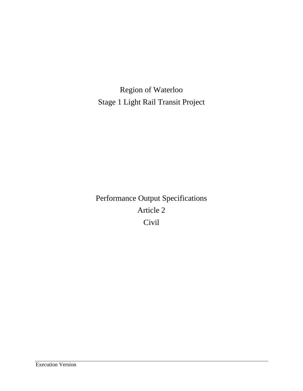Region of Waterloo Stage 1 Light Rail Transit Project

Performance Output Specifications Article 2 Civil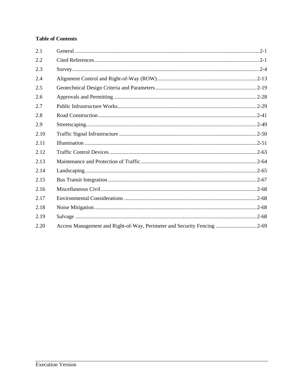# **Table of Contents**

| 2.1  |                                                                         |  |
|------|-------------------------------------------------------------------------|--|
| 2.2  |                                                                         |  |
| 2.3  |                                                                         |  |
| 2.4  |                                                                         |  |
| 2.5  |                                                                         |  |
| 2.6  |                                                                         |  |
| 2.7  |                                                                         |  |
| 2.8  |                                                                         |  |
| 2.9  |                                                                         |  |
| 2.10 |                                                                         |  |
| 2.11 |                                                                         |  |
| 2.12 |                                                                         |  |
| 2.13 |                                                                         |  |
| 2.14 |                                                                         |  |
| 2.15 |                                                                         |  |
| 2.16 |                                                                         |  |
| 2.17 |                                                                         |  |
| 2.18 |                                                                         |  |
| 2.19 |                                                                         |  |
| 2.20 | Access Management and Right-of-Way, Perimeter and Security Fencing 2-69 |  |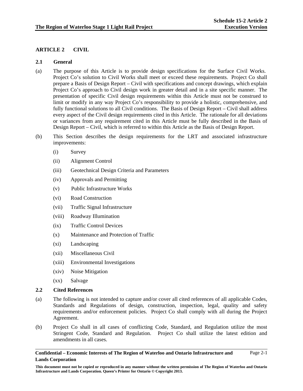Page 2-1

# **ARTICLE 2 CIVIL**

### **2.1 General**

- (a) The purpose of this Article is to provide design specifications for the Surface Civil Works. Project Co's solution to Civil Works shall meet or exceed these requirements. Project Co shall prepare a Basis of Design Report – Civil with specifications and concept drawings, which explain Project Co's approach to Civil design work in greater detail and in a site specific manner. The presentation of specific Civil design requirements within this Article must not be construed to limit or modify in any way Project Co's responsibility to provide a holistic, comprehensive, and fully functional solutions to all Civil conditions. The Basis of Design Report – Civil shall address every aspect of the Civil design requirements cited in this Article. The rationale for all deviations or variances from any requirement cited in this Article must be fully described in the Basis of Design Report – Civil, which is referred to within this Article as the Basis of Design Report.
- (b) This Section describes the design requirements for the LRT and associated infrastructure improvements:
	- (i) Survey
	- (ii) Alignment Control
	- (iii) Geotechnical Design Criteria and Parameters
	- (iv) Approvals and Permitting
	- (v) Public Infrastructure Works
	- (vi) Road Construction
	- (vii) Traffic Signal Infrastructure
	- (viii) Roadway Illumination
	- (ix) Traffic Control Devices
	- (x) Maintenance and Protection of Traffic
	- (xi) Landscaping
	- (xii) Miscellaneous Civil
	- (xiii) Environmental Investigations
	- (xiv) Noise Mitigation
	- (xx) Salvage

### **2.2 Cited References**

- (a) The following is not intended to capture and/or cover all cited references of all applicable Codes, Standards and Regulations of design, construction, inspection, legal, quality and safety requirements and/or enforcement policies. Project Co shall comply with all during the Project Agreement.
- (b) Project Co shall in all cases of conflicting Code, Standard, and Regulation utilize the most Stringent Code, Standard and Regulation. Project Co shall utilize the latest edition and amendments in all cases.

**This document must not be copied or reproduced in any manner without the written permission of The Region of Waterloo and Ontario Infrastructure and Lands Corporation. Queen's Printer for Ontario © Copyright 2013.**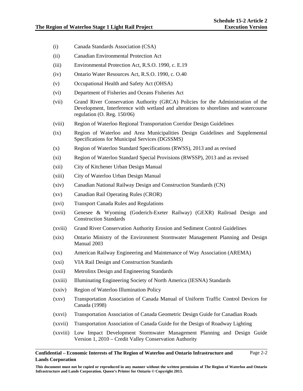- (i) Canada Standards Association (CSA)
- (ii) Canadian Environmental Protection Act
- (iii) Environmental Protection Act, R.S.O. 1990, c. E.19
- (iv) Ontario Water Resources Act, R.S.O. 1990, c. O.40
- (v) Occupational Health and Safety Act (OHSA)
- (vi) Department of Fisheries and Oceans Fisheries Act
- (vii) Grand River Conservation Authority (GRCA) Policies for the Administration of the Development, Interference with wetland and alterations to shorelines and watercourse regulation (O. Reg. 150/06)
- (viii) Region of Waterloo Regional Transportation Corridor Design Guidelines
- (ix) Region of Waterloo and Area Municipalities Design Guidelines and Supplemental Specifications for Municipal Services (DGSSMS)
- (x) Region of Waterloo Standard Specifications (RWSS), 2013 and as revised
- (xi) Region of Waterloo Standard Special Provisions (RWSSP), 2013 and as revised
- (xii) City of Kitchener Urban Design Manual
- (xiii) City of Waterloo Urban Design Manual
- (xiv) Canadian National Railway Design and Construction Standards (CN)
- (xv) Canadian Rail Operating Rules (CROR)
- (xvi) Transport Canada Rules and Regulations
- (xvii) Genesee & Wyoming (Goderich-Exeter Railway) (GEXR) Railroad Design and Construction Standards
- (xviii) Grand River Conservation Authority Erosion and Sediment Control Guidelines
- (xix) Ontario Ministry of the Environment Stormwater Management Planning and Design Manual 2003
- (xx) American Railway Engineering and Maintenance of Way Association (AREMA)
- (xxi) VIA Rail Design and Construction Standards
- (xxii) Metrolinx Design and Engineering Standards
- (xxiii) Illuminating Engineering Society of North America (IESNA) Standards
- (xxiv) Region of Waterloo Illumination Policy
- (xxv) Transportation Association of Canada Manual of Uniform Traffic Control Devices for Canada (1998)
- (xxvi) Transportation Association of Canada Geometric Design Guide for Canadian Roads
- (xxvii) Transportation Association of Canada Guide for the Design of Roadway Lighting
- (xxviii) Low Impact Development Stormwater Management Planning and Design Guide Version 1, 2010 – Credit Valley Conservation Authority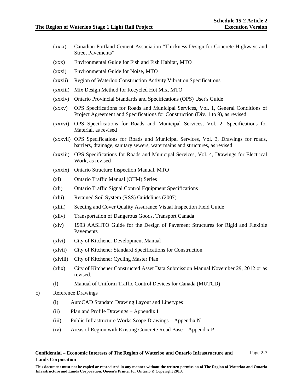Page 2-3

- (xxix) Canadian Portland Cement Association "Thickness Design for Concrete Highways and Street Pavements"
- (xxx) Environmental Guide for Fish and Fish Habitat, MTO
- (xxxi) Environmental Guide for Noise, MTO
- (xxxii) Region of Waterloo Construction Activity Vibration Specifications
- (xxxiii) Mix Design Method for Recycled Hot Mix, MTO
- (xxxiv) Ontario Provincial Standards and Specifications (OPS) User's Guide
- (xxxv) OPS Specifications for Roads and Municipal Services, Vol. 1, General Conditions of Project Agreement and Specifications for Construction (Div. 1 to 9), as revised
- (xxxvi) OPS Specifications for Roads and Municipal Services, Vol. 2, Specifications for Material, as revised
- (xxxvii) OPS Specifications for Roads and Municipal Services, Vol. 3, Drawings for roads, barriers, drainage, sanitary sewers, watermains and structures, as revised
- (xxxiii) OPS Specifications for Roads and Municipal Services, Vol. 4, Drawings for Electrical Work, as revised
- (xxxix) Ontario Structure Inspection Manual, MTO
- (xl) Ontario Traffic Manual (OTM) Series
- (xli) Ontario Traffic Signal Control Equipment Specifications
- (xlii) Retained Soil System (RSS) Guidelines (2007)
- (xliii) Seeding and Cover Quality Assurance Visual Inspection Field Guide
- (xliv) Transportation of Dangerous Goods, Transport Canada
- (xlv) 1993 AASHTO Guide for the Design of Pavement Structures for Rigid and Flexible Pavements
- (xlvi) City of Kitchener Development Manual
- (xlvii) City of Kitchener Standard Specifications for Construction
- (xlviii) City of Kitchener Cycling Master Plan
- (xlix) City of Kitchener Constructed Asset Data Submission Manual November 29, 2012 or as revised.
- (l) Manual of Uniform Traffic Control Devices for Canada (MUTCD)
- c) Reference Drawings
	- (i) AutoCAD Standard Drawing Layout and Linetypes
	- (ii) Plan and Profile Drawings Appendix I
	- (iii) Public Infrastructure Works Scope Drawings Appendix N
	- (iv) Areas of Region with Existing Concrete Road Base Appendix P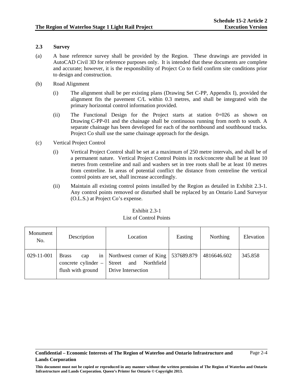## **2.3 Survey**

- (a) A base reference survey shall be provided by the Region. These drawings are provided in AutoCAD Civil 3D for reference purposes only. It is intended that these documents are complete and accurate; however, it is the responsibility of Project Co to field confirm site conditions prior to design and construction.
- (b) Road Alignment
	- (i) The alignment shall be per existing plans (Drawing Set C-PP, Appendix I), provided the alignment fits the pavement C/L within 0.3 metres, and shall be integrated with the primary horizontal control information provided.
	- (ii) The Functional Design for the Project starts at station 0+026 as shown on Drawing C-PP-01 and the chainage shall be continuous running from north to south. A separate chainage has been developed for each of the northbound and southbound tracks. Project Co shall use the same chainage approach for the design.
- (c) Vertical Project Control
	- (i) Vertical Project Control shall be set at a maximum of 250 metre intervals, and shall be of a permanent nature. Vertical Project Control Points in rock/concrete shall be at least 10 metres from centreline and nail and washers set in tree roots shall be at least 10 metres from centreline. In areas of potential conflict the distance from centreline the vertical control points are set, shall increase accordingly.
	- (ii) Maintain all existing control points installed by the Region as detailed in Exhibit 2.3-1. Any control points removed or disturbed shall be replaced by an Ontario Land Surveyor (O.L.S.) at Project Co's expense.

| Monument<br>No. | Description                                                     | Location                                                                             | Easting    | <b>Northing</b> | Elevation |
|-----------------|-----------------------------------------------------------------|--------------------------------------------------------------------------------------|------------|-----------------|-----------|
| 029-11-001      | <b>Brass</b><br>cap<br>concrete cylinder –<br>flush with ground | in   Northwest corner of King  <br>Northfield<br>and<br>Street<br>Drive Intersection | 537689.879 | 4816646.602     | 345.858   |

## Exhibit 2.3-1 List of Control Points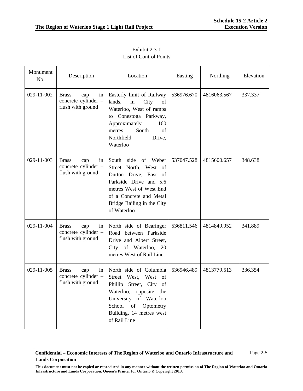| Monument<br>No. | Description                                                           | Location                                                                                                                                                                                                     | Easting    | Northing    | Elevation |
|-----------------|-----------------------------------------------------------------------|--------------------------------------------------------------------------------------------------------------------------------------------------------------------------------------------------------------|------------|-------------|-----------|
| 029-11-002      | <b>Brass</b><br>cap<br>in<br>concrete cylinder -<br>flush with ground | Easterly limit of Railway<br>lands,<br>City<br>in<br>of<br>Waterloo, West of ramps<br>Conestoga Parkway,<br>to<br>Approximately<br>160<br>South<br>of<br>metres<br>Northfield<br>Drive,<br>Waterloo          | 536976.670 | 4816063.567 | 337.337   |
| 029-11-003      | <b>Brass</b><br>cap<br>in<br>concrete cylinder -<br>flush with ground | South<br>side<br>of Weber<br>Street North, West of<br>Dutton Drive, East of<br>Parkside Drive and 5.6<br>metres West of West End<br>of a Concrete and Metal<br>Bridge Railing in the City<br>of Waterloo     | 537047.528 | 4815600.657 | 348.638   |
| 029-11-004      | <b>Brass</b><br>in<br>cap<br>concrete cylinder -<br>flush with ground | North side of Bearinger<br>Road between Parkside<br>Drive and Albert Street,<br>City of Waterloo, 20<br>metres West of Rail Line                                                                             | 536811.546 | 4814849.952 | 341.889   |
| 029-11-005      | <b>Brass</b><br>in<br>cap<br>concrete cylinder -<br>flush with ground | North side of Columbia<br>West,<br>West of<br>Street<br>Phillip<br>Street,<br>City of<br>Waterloo, opposite the<br>University of Waterloo<br>School of Optometry<br>Building, 14 metres west<br>of Rail Line | 536946.489 | 4813779.513 | 336.354   |

Exhibit 2.3-1 List of Control Points

**This document must not be copied or reproduced in any manner without the written permission of The Region of Waterloo and Ontario Infrastructure and Lands Corporation. Queen's Printer for Ontario © Copyright 2013.**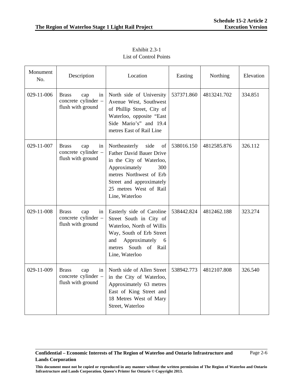| Monument<br>No. | Description                                                           | Location                                                                                                                                                                                                              | Easting    | Northing    | Elevation |
|-----------------|-----------------------------------------------------------------------|-----------------------------------------------------------------------------------------------------------------------------------------------------------------------------------------------------------------------|------------|-------------|-----------|
| 029-11-006      | <b>Brass</b><br>cap<br>in<br>concrete cylinder -<br>flush with ground | North side of University<br>Avenue West, Southwest<br>of Phillip Street, City of<br>Waterloo, opposite "East<br>Side Mario's" and 19.4<br>metres East of Rail Line                                                    | 537371.860 | 4813241.702 | 334.851   |
| 029-11-007      | <b>Brass</b><br>in<br>cap<br>concrete cylinder -<br>flush with ground | Northeasterly<br>of<br>side<br><b>Father David Bauer Drive</b><br>in the City of Waterloo,<br>Approximately<br>300<br>metres Northwest of Erb<br>Street and approximately<br>25 metres West of Rail<br>Line, Waterloo | 538016.150 | 4812585.876 | 326.112   |
| 029-11-008      | <b>Brass</b><br>cap<br>in<br>concrete cylinder -<br>flush with ground | Easterly side of Caroline<br>Street South in City of<br>Waterloo, North of Willis<br>Way, South of Erb Street<br>Approximately<br>and<br>6<br>metres South of Rail<br>Line, Waterloo                                  | 538442.824 | 4812462.188 | 323.274   |
| 029-11-009      | <b>Brass</b><br>cap<br>in<br>concrete cylinder -<br>flush with ground | North side of Allen Street<br>in the City of Waterloo,<br>Approximately 63 metres<br>East of King Street and<br>18 Metres West of Mary<br>Street, Waterloo                                                            | 538942.773 | 4812107.808 | 326.540   |

Exhibit 2.3-1 List of Control Points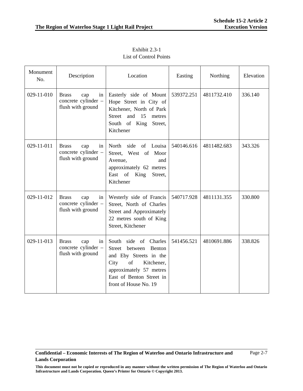| Monument<br>No. | Description                                                           | Location                                                                                                                                                                                         | Easting    | Northing    | Elevation |
|-----------------|-----------------------------------------------------------------------|--------------------------------------------------------------------------------------------------------------------------------------------------------------------------------------------------|------------|-------------|-----------|
| 029-11-010      | <b>Brass</b><br>in<br>cap<br>concrete cylinder -<br>flush with ground | Easterly side of Mount<br>Hope Street in City of<br>Kitchener, North of Park<br>and<br><b>Street</b><br>15<br>metres<br>South of King<br>Street,<br>Kitchener                                    | 539372.251 | 4811732.410 | 336.140   |
| 029-11-011      | <b>Brass</b><br>cap<br>in<br>concrete cylinder –<br>flush with ground | Louisa<br>North<br>side<br>of<br>Street, West of<br>Moor<br>Avenue,<br>and<br>approximately 62 metres<br>East of<br>King<br>Street,<br>Kitchener                                                 | 540146.616 | 4811482.683 | 343.326   |
| 029-11-012      | <b>Brass</b><br>in<br>cap<br>concrete cylinder -<br>flush with ground | Westerly side of Francis<br>Street, North of Charles<br>Street and Approximately<br>22 metres south of King<br>Street, Kitchener                                                                 | 540717.928 | 4811131.355 | 330.800   |
| 029-11-013      | <b>Brass</b><br>in<br>cap<br>concrete cylinder -<br>flush with ground | South<br>side of<br>Charles<br>Street<br>between<br>Benton<br>and Eby Streets in the<br>of<br>City<br>Kitchener,<br>approximately 57 metres<br>East of Benton Street in<br>front of House No. 19 | 541456.521 | 4810691.886 | 338.826   |

Exhibit 2.3-1 List of Control Points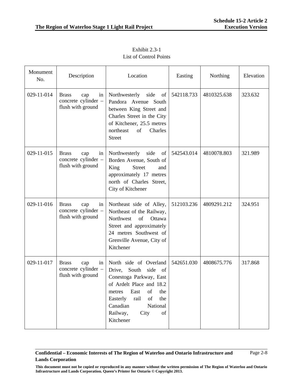| Monument<br>No. | Description                                                           | Location                                                                                                                                                                                                                                                                    | Easting    | Northing    | Elevation |
|-----------------|-----------------------------------------------------------------------|-----------------------------------------------------------------------------------------------------------------------------------------------------------------------------------------------------------------------------------------------------------------------------|------------|-------------|-----------|
| 029-11-014      | <b>Brass</b><br>cap<br>in<br>concrete cylinder -<br>flush with ground | Northwesterly side<br>of<br>Pandora Avenue South<br>between King Street and<br>Charles Street in the City<br>of Kitchener, 25.5 metres<br>northeast<br>of<br>Charles<br><b>Street</b>                                                                                       | 542118.733 | 4810325.638 | 323.632   |
| 029-11-015      | <b>Brass</b><br>in<br>cap<br>concrete cylinder -<br>flush with ground | Northwesterly side<br>of<br>Borden Avenue, South of<br><b>Street</b><br>King<br>and<br>approximately 17 metres<br>north of Charles Street,<br>City of Kitchener                                                                                                             | 542543.014 | 4810078.803 | 321.989   |
| 029-11-016      | <b>Brass</b><br>in<br>cap<br>concrete cylinder -<br>flush with ground | Northeast side of Alley,<br>Northeast of the Railway,<br>Northwest<br>of<br>Ottawa<br>Street and approximately<br>24 metres Southwest of<br>Grenville Avenue, City of<br>Kitchener                                                                                          | 512103.236 | 4809291.212 | 324.951   |
| 029-11-017      | <b>Brass</b><br>in<br>cap<br>concrete cylinder -<br>flush with ground | North side of Overland<br>Drive,<br>South<br>side<br>of<br>Conestoga Parkway, East<br>of Ardelt Place and 18.2<br>East<br>the<br>metres<br>of<br>Easterly<br>rail<br>of<br>the<br>National<br>Canadian<br>Railway,<br>City<br>$% \left( \mathcal{M}\right)$ of<br>Kitchener | 542651.030 | 4808675.776 | 317.868   |

Exhibit 2.3-1 List of Control Points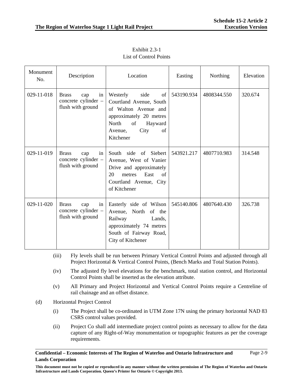| Monument<br>No. | Description                                                           | Location                                                                                                                                                             | Easting    | Northing    | Elevation |
|-----------------|-----------------------------------------------------------------------|----------------------------------------------------------------------------------------------------------------------------------------------------------------------|------------|-------------|-----------|
| 029-11-018      | <b>Brass</b><br>cap<br>in<br>concrete cylinder -<br>flush with ground | Westerly<br>side<br>of<br>Courtland Avenue, South<br>of Walton Avenue and<br>approximately 20 metres<br>North<br>of<br>Hayward<br>of<br>City<br>Avenue,<br>Kitchener | 543190.934 | 4808344.550 | 320.674   |
| 029-11-019      | in<br><b>Brass</b><br>cap<br>concrete cylinder -<br>flush with ground | South side of Siebert<br>Avenue, West of Vanier<br>Drive and approximately<br>East<br>20<br>metres<br>of<br>Courtland Avenue, City<br>of Kitchener                   | 543921.217 | 4807710.983 | 314.548   |
| 029-11-020      | in<br><b>Brass</b><br>cap<br>concrete cylinder -<br>flush with ground | Easterly side of Wilson<br>Avenue, North of the<br>Railway<br>Lands,<br>approximately 74 metres<br>South of Fairway Road,<br>City of Kitchener                       | 545140.806 | 4807640.430 | 326.738   |

Exhibit 2.3-1 List of Control Points

- (iii) Fly levels shall be run between Primary Vertical Control Points and adjusted through all Project Horizontal & Vertical Control Points, (Bench Marks and Total Station Points).
- (iv) The adjusted fly level elevations for the benchmark, total station control, and Horizontal Control Points shall be inserted as the elevation attribute.
- (v) All Primary and Project Horizontal and Vertical Control Points require a Centreline of rail chainage and an offset distance.
- (d) Horizontal Project Control
	- (i) The Project shall be co-ordinated in UTM Zone 17N using the primary horizontal NAD 83 CSRS control values provided.
	- (ii) Project Co shall add intermediate project control points as necessary to allow for the data capture of any Right-of-Way monumentation or topographic features as per the coverage requirements.

**This document must not be copied or reproduced in any manner without the written permission of The Region of Waterloo and Ontario Infrastructure and Lands Corporation. Queen's Printer for Ontario © Copyright 2013.**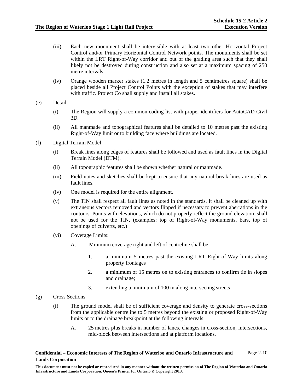- (iii) Each new monument shall be intervisible with at least two other Horizontal Project Control and/or Primary Horizontal Control Network points. The monuments shall be set within the LRT Right-of-Way corridor and out of the grading area such that they shall likely not be destroyed during construction and also set at a maximum spacing of 250 metre intervals.
- (iv) Orange wooden marker stakes (1.2 metres in length and 5 centimetres square) shall be placed beside all Project Control Points with the exception of stakes that may interfere with traffic. Project Co shall supply and install all stakes.
- (e) Detail
	- (i) The Region will supply a common coding list with proper identifiers for AutoCAD Civil 3D.
	- (ii) All manmade and topographical features shall be detailed to 10 metres past the existing Right-of-Way limit or to building face where buildings are located.
- (f) Digital Terrain Model
	- (i) Break lines along edges of features shall be followed and used as fault lines in the Digital Terrain Model (DTM).
	- (ii) All topographic features shall be shown whether natural or manmade.
	- (iii) Field notes and sketches shall be kept to ensure that any natural break lines are used as fault lines.
	- (iv) One model is required for the entire alignment.
	- (v) The TIN shall respect all fault lines as noted in the standards. It shall be cleaned up with extraneous vectors removed and vectors flipped if necessary to prevent aberrations in the contours. Points with elevations, which do not properly reflect the ground elevation, shall not be used for the TIN, (examples: top of Right-of-Way monuments, bars, top of openings of culverts, etc.)
	- (vi) Coverage Limits:
		- A. Minimum coverage right and left of centreline shall be
			- 1. a minimum 5 metres past the existing LRT Right-of-Way limits along property frontages
			- 2. a minimum of 15 metres on to existing entrances to confirm tie in slopes and drainage;
			- 3. extending a minimum of 100 m along intersecting streets
- (g) Cross Sections
	- (i) The ground model shall be of sufficient coverage and density to generate cross-sections from the applicable centreline to 5 metres beyond the existing or proposed Right-of-Way limits or to the drainage breakpoint at the following intervals:
		- A. 25 metres plus breaks in number of lanes, changes in cross-section, intersections, mid-block between intersections and at platform locations.

**Confidential – Economic Interests of The Region of Waterloo and Ontario Infrastructure and Lands Corporation**  Page 2-10

**This document must not be copied or reproduced in any manner without the written permission of The Region of Waterloo and Ontario Infrastructure and Lands Corporation. Queen's Printer for Ontario © Copyright 2013.**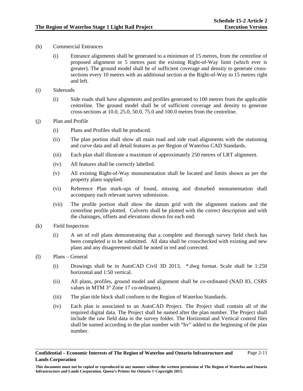- (h) Commercial Entrances
	- (i) Entrance alignments shall be generated to a minimum of 15 metres, from the centreline of proposed alignment or 5 metres past the existing Right-of-Way limit (which ever is greater). The ground model shall be of sufficient coverage and density to generate crosssections every 10 metres with an additional section at the Right-of-Way to 15 metres right and left.
- (i) Sideroads
	- (i) Side roads shall have alignments and profiles generated to 100 metres from the applicable centreline. The ground model shall be of sufficient coverage and density to generate cross-sections at 10.0, 25.0, 50.0, 75.0 and 100.0 metres from the centreline.
- (j) Plan and Profile
	- (i) Plans and Profiles shall be produced.
	- (ii) The plan portion shall show all main road and side road alignments with the stationing and curve data and all detail features as per Region of Waterloo CAD Standards.
	- (iii) Each plan shall illustrate a maximum of approximately 250 metres of LRT alignment.
	- (iv) All features shall be correctly labelled.
	- (v) All existing Right-of-Way monumentation shall be located and limits shown as per the property plans supplied.
	- (vi) Reference Plan mark-ups of found, missing and disturbed monumentation shall accompany each relevant survey submission.
	- (vii) The profile portion shall show the datum grid with the alignment stations and the centreline profile plotted. Culverts shall be plotted with the correct description and with the chainages, offsets and elevations shown for each end.
- (k) Field Inspection
	- (i) A set of roll plans demonstrating that a complete and thorough survey field check has been completed is to be submitted. All data shall be crosschecked with existing and new plans and any disagreement shall be noted in red and corrected.
- (l) Plans General
	- (i) Drawings shall be in AutoCAD Civil 3D 2013, \*.dwg format. Scale shall be 1:250 horizontal and 1:50 vertical.
	- (ii) All plans, profiles, ground model and alignment shall be co-ordinated (NAD 83, CSRS values in MTM 3° Zone 17 co-ordinates).
	- (iii) The plan title block shall conform to the Region of Waterloo Standards.
	- (iv) Each plan is associated to an AutoCAD Project. The Project shall contain all of the required digital data. The Project shall be named after the plan number. The Project shall include the raw field data in the survey folder. The Horizontal and Vertical control files shall be named according to the plan number with "hv" added to the beginning of the plan number.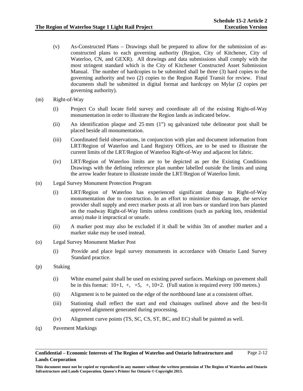- (v) As-Constructed Plans Drawings shall be prepared to allow for the submission of asconstructed plans to each governing authority (Region, City of Kitchener, City of Waterloo, CN, and GEXR). All drawings and data submissions shall comply with the most stringent standard which is the City of Kitchener Constructed Asset Submission Manual. The number of hardcopies to be submitted shall be three (3) hard copies to the governing authority and two (2) copies to the Region Rapid Transit for review. Final documents shall be submitted in digital format and hardcopy on Mylar (2 copies per governing authority).
- (m) Right-of-Way
	- (i) Project Co shall locate field survey and coordinate all of the existing Right-of-Way monumentation in order to illustrate the Region lands as indicated below.
	- (ii) An identification plaque and 25 mm (1") sq galvanized tube delineator post shall be placed beside all monumentation.
	- (iii) Coordinated field observations, in conjunction with plan and document information from LRT/Region of Waterloo and Land Registry Offices, are to be used to illustrate the current limits of the LRT/Region of Waterloo Right-of-Way and adjacent lot fabric.
	- (iv) LRT/Region of Waterloo limits are to be depicted as per the Existing Conditions Drawings with the defining reference plan number labelled outside the limits and using the arrow leader feature to illustrate inside the LRT/Region of Waterloo limit.
- (n) Legal Survey Monument Protection Program
	- (i) LRT/Region of Waterloo has experienced significant damage to Right-of-Way monumentation due to construction. In an effort to minimize this damage, the service provider shall supply and erect marker posts at all iron bars or standard iron bars planted on the roadway Right-of-Way limits unless conditions (such as parking lots, residential areas) make it impractical or unsafe.
	- (ii) A marker post may also be excluded if it shall be within 3m of another marker and a marker stake may be used instead.
- (o) Legal Survey Monument Marker Post
	- (i) Provide and place legal survey monuments in accordance with Ontario Land Survey Standard practice.
- (p) Staking
	- (i) White enamel paint shall be used on existing paved surfaces. Markings on pavement shall be in this format:  $10+1$ ,  $+, +5$ ,  $+, 10+2$ . (Full station is required every 100 metres.)
	- (ii) Alignment is to be painted on the edge of the northbound lane at a consistent offset.
	- (iii) Stationing shall reflect the start and end chainages outlined above and the best-fit approved alignment generated during processing.
	- (iv) Alignment curve points (TS, SC, CS, ST, BC, and EC) shall be painted as well.
- (q) Pavement Markings

**This document must not be copied or reproduced in any manner without the written permission of The Region of Waterloo and Ontario Infrastructure and Lands Corporation. Queen's Printer for Ontario © Copyright 2013.**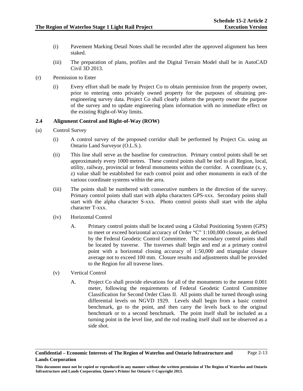- (i) Pavement Marking Detail Notes shall be recorded after the approved alignment has been staked.
- (iii) The preparation of plans, profiles and the Digital Terrain Model shall be in AutoCAD Civil 3D 2013.
- (r) Permission to Enter
	- (i) Every effort shall be made by Project Co to obtain permission from the property owner, prior to entering onto privately owned property for the purposes of obtaining preengineering survey data. Project Co shall clearly inform the property owner the purpose of the survey and to update engineering plans information with no immediate effect on the existing Right-of-Way limits.

### **2.4 Alignment Control and Right-of-Way (ROW)**

- (a) Control Survey
	- (i) A control survey of the proposed corridor shall be performed by Project Co. using an Ontario Land Surveyor (O.L.S.).
	- (ii) This line shall serve as the baseline for construction. Primary control points shall be set approximately every 1000 metres. These control points shall be tied to all Region, local, utility, railway, provincial or federal monuments within the corridor. A coordinate  $(x, y, z)$ z) value shall be established for each control point and other monuments in each of the various coordinate systems within the area.
	- (iii) The points shall be numbered with consecutive numbers in the direction of the survey. Primary control points shall start with alpha characters GPS-xxx. Secondary points shall start with the alpha character S-xxx. Photo control points shall start with the alpha character T-xxx.
	- (iv) Horizontal Control
		- A. Primary control points shall be located using a Global Positioning System (GPS) to meet or exceed horizontal accuracy of Order "C" 1:100,000 closure, as defined by the Federal Geodetic Control Committee. The secondary control points shall be located by traverse. The traverses shall begin and end at a primary control point with a horizontal closing accuracy of 1:50,000 and triangular closure average not to exceed 100 mm. Closure results and adjustments shall be provided to the Region for all traverse lines.
	- (v) Vertical Control
		- A. Project Co shall provide elevations for all of the monuments to the nearest 0.001 meter, following the requirements of Federal Geodetic Control Committee Classification for Second Order Class II. All points shall be turned through using differential levels on NGVD 1929. Levels shall begin from a basic control benchmark, go to the point, and then carry the levels back to the original benchmark or to a second benchmark. The point itself shall be included as a turning point in the level line, and the rod reading itself shall not be observed as a side shot.

**Confidential – Economic Interests of The Region of Waterloo and Ontario Infrastructure and Lands Corporation**  Page 2-13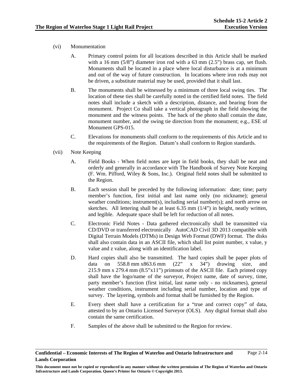# (vi) Monumentation

- A. Primary control points for all locations described in this Article shall be marked with a 16 mm (5/8") diameter iron rod with a 63 mm (2.5") brass cap, set flush. Monuments shall be located in a place where local disturbance is at a minimum and out of the way of future construction. In locations where iron rods may not be driven, a substitute material may be used, provided that it shall last.
- B. The monuments shall be witnessed by a minimum of three local swing ties. The location of these ties shall be carefully noted in the certified field notes. The field notes shall include a sketch with a description, distance, and bearing from the monument. Project Co shall take a vertical photograph in the field showing the monument and the witness points. The back of the photo shall contain the date, monument number, and the swing tie direction from the monument; e.g., ESE of Monument GPS-015.
- C. Elevations for monuments shall conform to the requirements of this Article and to the requirements of the Region. Datum's shall conform to Region standards.
- (vii) Note Keeping
	- A. Field Books When field notes are kept in field books, they shall be neat and orderly and generally in accordance with The Handbook of Survey Note Keeping (F. Wm. Pifford, Wiley & Sons, Inc.). Original field notes shall be submitted to the Region.
	- B. Each session shall be preceded by the following information: date; time; party member's function, first initial and last name only (no nickname); general weather conditions; instrument(s), including serial number(s); and north arrow on sketches. All lettering shall be at least 6.35 mm (1/4") in height, neatly written, and legible. Adequate space shall be left for reduction of all notes.
	- C. Electronic Field Notes Data gathered electronically shall be transmitted via CD/DVD or transferred electronically AutoCAD Civil 3D 2013 compatible with Digital Terrain Models (DTMs) in Design Web Format (DWF) format. The disks shall also contain data in an ASCII file, which shall list point number, x value, y value and z value, along with an identification label.
	- D. Hard copies shall also be transmitted. The hard copies shall be paper plots of data on 558.8 mm x863.6 mm (22" x 34") drawing size, and 215.9 mm x 279.4 mm (8.5"x11") printouts of the ASCII file. Each printed copy shall have the logo/name of the surveyor, Project name, date of survey, time, party member's function (first initial, last name only - no nicknames), general weather conditions, instrument including serial number, location and type of survey. The layering, symbols and format shall be furnished by the Region.
	- E. Every sheet shall have a certification for a "true and correct copy" of data, attested to by an Ontario Licensed Surveyor (OLS). Any digital format shall also contain the same certification.
	- F. Samples of the above shall be submitted to the Region for review.

**Confidential – Economic Interests of The Region of Waterloo and Ontario Infrastructure and Lands Corporation**  Page 2-14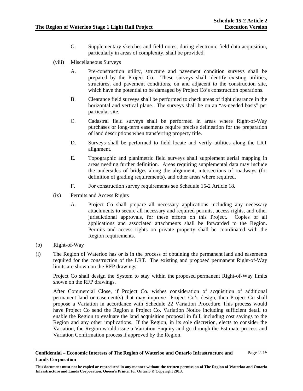- G. Supplementary sketches and field notes, during electronic field data acquisition, particularly in areas of complexity, shall be provided.
- (viii) Miscellaneous Surveys
	- A. Pre-construction utility, structure and pavement condition surveys shall be prepared by the Project Co. These surveys shall identify existing utilities, structures, and pavement conditions, on and adjacent to the construction site, which have the potential to be damaged by Project Co's construction operations.
	- B. Clearance field surveys shall be performed to check areas of tight clearance in the horizontal and vertical plane. The surveys shall be on an "as-needed basis" per particular site.
	- C. Cadastral field surveys shall be performed in areas where Right-of-Way purchases or long-term easements require precise delineation for the preparation of land descriptions when transferring property title.
	- D. Surveys shall be performed to field locate and verify utilities along the LRT alignment.
	- E. Topographic and planimetric field surveys shall supplement aerial mapping in areas needing further definition. Areas requiring supplemental data may include the undersides of bridges along the alignment, intersections of roadways (for definition of grading requirements), and other areas where required.
	- F. For construction survey requirements see Schedule 15-2 Article 18.
- (ix) Permits and Access Rights
	- A. Project Co shall prepare all necessary applications including any necessary attachments to secure all necessary and required permits, access rights, and other jurisdictional approvals, for these efforts on this Project. Copies of all applications and associated attachments shall be forwarded to the Region. Permits and access rights on private property shall be coordinated with the Region requirements.
- (b) Right-of-Way
- (i) The Region of Waterloo has or is in the process of obtaining the permanent land and easements required for the construction of the LRT. The existing and proposed permanent Right-of-Way limits are shown on the RFP drawings

Project Co shall design the System to stay within the proposed permanent Right-of-Way limits shown on the RFP drawings.

After Commercial Close, if Project Co. wishes consideration of acquisition of additional permanent land or easement(s) that may improve Project Co's design, then Project Co shall propose a Variation in accordance with Schedule 22 Variation Procedure. This process would have Project Co send the Region a Project Co. Variation Notice including sufficient detail to enable the Region to evaluate the land acquisition proposal in full, including cost savings to the Region and any other implications. If the Region, in its sole discretion, elects to consider the Variation, the Region would issue a Variation Enquiry and go through the Estimate process and Variation Confirmation process if approved by the Region.

**Confidential – Economic Interests of The Region of Waterloo and Ontario Infrastructure and Lands Corporation**  Page 2-15

**This document must not be copied or reproduced in any manner without the written permission of The Region of Waterloo and Ontario Infrastructure and Lands Corporation. Queen's Printer for Ontario © Copyright 2013.**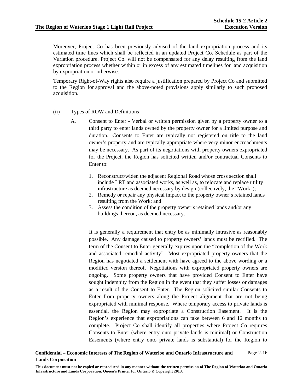Moreover, Project Co has been previously advised of the land expropriation process and its estimated time lines which shall be reflected in an updated Project Co. Schedule as part of the Variation procedure. Project Co. will not be compensated for any delay resulting from the land expropriation process whether within or in excess of any estimated timelines for land acquisition by expropriation or otherwise.

Temporary Right-of-Way rights also require a justification prepared by Project Co and submitted to the Region for approval and the above-noted provisions apply similarly to such proposed acquisition.

- (ii) Types of ROW and Definitions
	- A. Consent to Enter Verbal or written permission given by a property owner to a third party to enter lands owned by the property owner for a limited purpose and duration. Consents to Enter are typically not registered on title to the land owner's property and are typically appropriate where very minor encroachments may be necessary. As part of its negotiations with property owners expropriated for the Project, the Region has solicited written and/or contractual Consents to Enter to:
		- 1. Reconstruct/widen the adjacent Regional Road whose cross section shall include LRT and associated works, as well as, to relocate and replace utility infrastructure as deemed necessary by design (collectively, the "Work");
		- 2. Remedy or repair any physical impact to the property owner's retained lands resulting from the Work; and
		- 3. Assess the condition of the property owner's retained lands and/or any buildings thereon, as deemed necessary.

It is generally a requirement that entry be as minimally intrusive as reasonably possible. Any damage caused to property owners' lands must be rectified. The term of the Consent to Enter generally expires upon the "completion of the Work and associated remedial activity". Most expropriated property owners that the Region has negotiated a settlement with have agreed to the above wording or a modified version thereof. Negotiations with expropriated property owners are ongoing. Some property owners that have provided Consent to Enter have sought indemnity from the Region in the event that they suffer losses or damages as a result of the Consent to Enter. The Region solicited similar Consents to Enter from property owners along the Project alignment that are not being expropriated with minimal response. Where temporary access to private lands is essential, the Region may expropriate a Construction Easement. It is the Region's experience that expropriations can take between 6 and 12 months to complete. Project Co shall identify all properties where Project Co requires Consents to Enter (where entry onto private lands is minimal) or Construction Easements (where entry onto private lands is substantial) for the Region to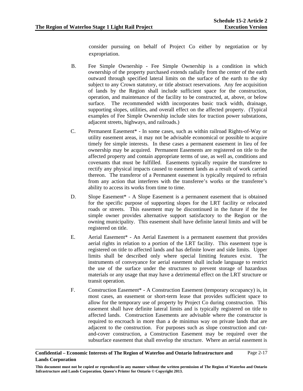consider pursuing on behalf of Project Co either by negotiation or by expropriation.

- B. Fee Simple Ownership Fee Simple Ownership is a condition in which ownership of the property purchased extends radially from the center of the earth outward through specified lateral limits on the surface of the earth to the sky subject to any Crown statutory, or title abstract reservations. Any fee acquisition of lands by the Region shall include sufficient space for the construction, operation, and maintenance of the facility to be constructed, at, above, or below surface. The recommended width incorporates basic track width, drainage, supporting slopes, utilities, and overall effect on the affected property. (Typical examples of Fee Simple Ownership include sites for traction power substations, adjacent streets, highways, and railroads.)
- C. Permanent Easement\* In some cases, such as within railroad Rights-of-Way or utility easement areas, it may not be advisable economical or possible to acquire timely fee simple interests. In these cases a permanent easement in lieu of fee ownership may be acquired. Permanent Easements are registered on title to the affected property and contain appropriate terms of use, as well as, conditions and covenants that must be fulfilled. Easements typically require the transferee to rectify any physical impacts caused to easement lands as a result of work carried thereon. The transferor of a Permanent easement is typically required to refrain from any action that interferes with the transferee's works or the transferee's ability to access its works from time to time.
- D. Slope Easement\* A Slope Easement is a permanent easement that is obtained for the specific purpose of supporting slopes for the LRT facility or relocated roads or streets. This easement may be discontinued in the future if the fee simple owner provides alternative support satisfactory to the Region or the owning municipality. This easement shall have definite lateral limits and will be registered on title.
- E. Aerial Easement\* An Aerial Easement is a permanent easement that provides aerial rights in relation to a portion of the LRT facility. This easement type is registered on title to affected lands and has definite lower and side limits. Upper limits shall be described only where special limiting features exist. The instruments of conveyance for aerial easement shall include language to restrict the use of the surface under the structures to prevent storage of hazardous materials or any usage that may have a detrimental effect on the LRT structure or transit operation.
- F. Construction Easement\* A Construction Easement (temporary occupancy) is, in most cases, an easement or short-term lease that provides sufficient space to allow for the temporary use of property by Project Co during construction. This easement shall have definite lateral limits and is typically registered on title to affected lands. Construction Easements are advisable where the constructor is required to encroach in more than a de minimus way on private lands that are adjacent to the construction. For purposes such as slope construction and cutand-cover construction, a Construction Easement may be required over the subsurface easement that shall envelop the structure. Where an aerial easement is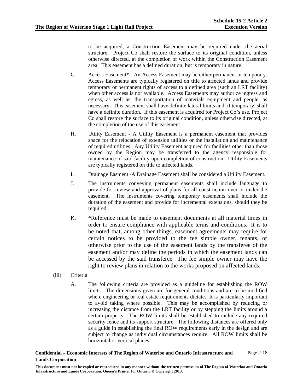to be acquired, a Construction Easement may be required under the aerial structure. Project Co shall restore the surface to its original condition, unless otherwise directed, at the completion of work within the Construction Easement area. This easement has a defined duration, but is temporary in nature.

- G. Access Easement\* An Access Easement may be either permanent or temporary. Access Easements are typically registered on title to affected lands and provide temporary or permanent rights of access to a defined area (such an LRT facility) when other access is not available. Access Easements may authorize ingress and egress, as well as, the transportation of materials equipment and people, as necessary. This easement shall have definite lateral limits and, if temporary, shall have a definite duration. If this easement is acquired for Project Co's use, Project Co shall restore the surface to its original condition, unless otherwise directed, at the completion of the use of this easement.
- H. Utility Easement A Utility Easement is a permanent easement that provides space for the relocation of extension utilities or the installation and maintenance of required utilities. Any Utility Easement acquired for facilities other than those owned by the Region may be transferred to the agency responsible for maintenance of said facility upon completion of construction. Utility Easements are typically registered on title to affected lands.
- I. Drainage Easment -A Drainage Easement shall be considered a Utility Easement.
- J. The instruments conveying permanent easements shall include language to provide for review and approval of plans for all construction over or under the easement. The instruments covering temporary easements shall include the duration of the easement and provide for incremental extensions, should they be required.
- K. \*Reference must be made to easement documents at all material times in order to ensure compliance with applicable terms and conditions. It is to be noted that, among other things, easement agreements may require for certain notices to be provided to the fee simple owner, tenants, or otherwise prior to the use of the easement lands by the transferee of the easement and/or may define the periods in which the easement lands can be accessed by the said transferee. The fee simple owner may have the right to review plans in relation to the works proposed on affected lands.
- (iii) Criteria
	- A. The following criteria are provided as a guideline for establishing the ROW limits. The dimensions given are for general conditions and are to be modified where engineering or real estate requirements dictate. It is particularly important to avoid taking where possible. This may be accomplished by reducing or increasing the distance from the LRT facility or by stepping the limits around a certain property. The ROW limits shall be established to include any required security fence and its support structure. The following distances are offered only as a guide in establishing the final ROW requirements early in the design and are subject to change as individual circumstances require. All ROW limits shall be horizontal or vertical planes.

**This document must not be copied or reproduced in any manner without the written permission of The Region of Waterloo and Ontario Infrastructure and Lands Corporation. Queen's Printer for Ontario © Copyright 2013.**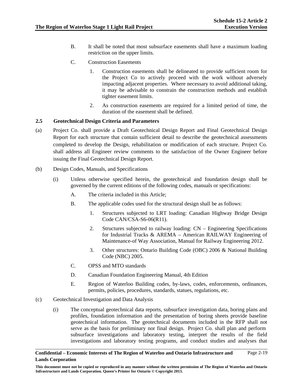- B. It shall be noted that most subsurface easements shall have a maximum loading restriction on the upper limits.
- C. Construction Easements
	- 1. Construction easements shall be delineated to provide sufficient room for the Project Co to actively proceed with the work without adversely impacting adjacent properties. Where necessary to avoid additional taking, it may be advisable to constrain the construction methods and establish tighter easement limits.
	- 2. As construction easements are required for a limited period of time, the duration of the easement shall be defined.

## **2.5 Geotechnical Design Criteria and Parameters**

- (a) Project Co. shall provide a Draft Geotechnical Design Report and Final Geotechnical Design Report for each structure that contain sufficient detail to describe the geotechnical assessments completed to develop the Design, rehabilitation or modification of each structure. Project Co. shall address all Engineer review comments to the satisfaction of the Owner Engineer before issuing the Final Geotechnical Design Report.
- (b) Design Codes, Manuals, and Specifications
	- (i) Unless otherwise specified herein, the geotechnical and foundation design shall be governed by the current editions of the following codes, manuals or specifications:
		- A. The criteria included in this Article;
		- B. The applicable codes used for the structural design shall be as follows:
			- 1. Structures subjected to LRT loading: Canadian Highway Bridge Design Code CAN/CSA-S6-06(R11).
			- 2. Structures subjected to railway loading: CN Engineering Specifications for Industrial Tracks & AREMA – American RAILWAY Engineering of Maintenance-of Way Association, Manual for Railway Engineering 2012.
			- 3. Other structures: Ontario Building Code (OBC) 2006 & National Building Code (NBC) 2005.
		- C. OPSS and MTO standards
		- D. Canadian Foundation Engineering Manual, 4th Edition
		- E. Region of Waterloo Building codes, by-laws, codes, enforcements, ordinances, permits, policies, procedures, standards, statues, regulations, etc.
- (c) Geotechnical Investigation and Data Analysis
	- (i) The conceptual geotechnical data reports, subsurface investigation data, boring plans and profiles, foundation information and the presentation of boring sheets provide baseline geotechnical information. The geotechnical documents included in the RFP shall not serve as the basis for preliminary nor final design. Project Co. shall plan and perform subsurface investigations and laboratory testing, interpret the results of the field investigations and laboratory testing programs, and conduct studies and analyses that

**This document must not be copied or reproduced in any manner without the written permission of The Region of Waterloo and Ontario Infrastructure and Lands Corporation. Queen's Printer for Ontario © Copyright 2013.**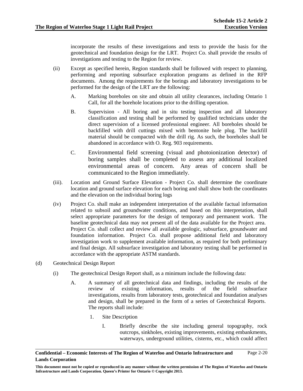incorporate the results of these investigations and tests to provide the basis for the geotechnical and foundation design for the LRT. Project Co. shall provide the results of investigations and testing to the Region for review.

- (ii) Except as specified herein, Region standards shall be followed with respect to planning, performing and reporting subsurface exploration programs as defined in the RFP documents. Among the requirements for the borings and laboratory investigations to be performed for the design of the LRT are the following:
	- A. Marking boreholes on site and obtain all utility clearances, including Ontario 1 Call, for all the borehole locations prior to the drilling operation.
	- B. Supervision All boring and in situ testing inspection and all laboratory classification and testing shall be performed by qualified technicians under the direct supervision of a licensed professional engineer. All boreholes should be backfilled with drill cuttings mixed with bentonite hole plug. The backfill material should be compacted with the drill rig. As such, the boreholes shall be abandoned in accordance with O. Reg. 903 requirements.
	- C. Environmental field screening (visual and photoionization detector) of boring samples shall be completed to assess any additional localized environmental areas of concern. Any areas of concern shall be communicated to the Region immediately.
- (iii). Location and Ground Surface Elevation Project Co. shall determine the coordinate location and ground surface elevation for each boring and shall show both the coordinates and the elevation on the individual boring logs
- (iv) Project Co. shall make an independent interpretation of the available factual information related to subsoil and groundwater conditions, and based on this interpretation, shall select appropriate parameters for the design of temporary and permanent work. The baseline geotechnical data may not present all of the data available for the Project area. Project Co. shall collect and review all available geologic, subsurface, groundwater and foundation information. Project Co. shall propose additional field and laboratory investigation work to supplement available information, as required for both preliminary and final design. All subsurface investigation and laboratory testing shall be performed in accordance with the appropriate ASTM standards.
- (d) Geotechnical Design Report
	- (i) The geotechnical Design Report shall, as a minimum include the following data:
		- A. A summary of all geotechnical data and findings, including the results of the review of existing information, results of the field subsurface investigations, results from laboratory tests, geotechnical and foundation analyses and design, shall be prepared in the form of a series of Geotechnical Reports. The reports shall include:
			- 1. Site Description
				- I. Briefly describe the site including general topography, rock outcrops, sinkholes, existing improvements, existing embankments, waterways, underground utilities, cisterns, etc., which could affect

**Confidential – Economic Interests of The Region of Waterloo and Ontario Infrastructure and Lands Corporation**  Page 2-20

**This document must not be copied or reproduced in any manner without the written permission of The Region of Waterloo and Ontario Infrastructure and Lands Corporation. Queen's Printer for Ontario © Copyright 2013.**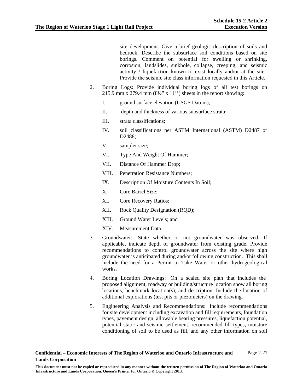site development. Give a brief geologic description of soils and bedrock. Describe the subsurface soil conditions based on site borings. Comment on potential for swelling or shrinking, corrosion, landslides, sinkhole, collapse, creeping, and seismic activity / liquefaction known to exist locally and/or at the site. Provide the seismic site class information requested in this Article.

- 2. Boring Logs: Provide individual boring logs of all test borings on 215.9 mm x 279.4 mm  $(8\frac{1}{2}$ " x 11") sheets in the report showing:
	- I. ground surface elevation (USGS Datum);
	- II. depth and thickness of various subsurface strata;
	- III. strata classifications;
	- IV. soil classifications per ASTM International (ASTM) D2487 or D2488;
	- V. sampler size;
	- VI. Type And Weight Of Hammer;
	- VII. Distance Of Hammer Drop;
	- VIII. Penetration Resistance Numbers;
	- IX. Description Of Moisture Contents In Soil;
	- X. Core Barrel Size;
	- XI. Core Recovery Ratios;
	- XII. Rock Quality Designation (RQD);
	- XIII. Ground Water Levels; and
	- XIV. Measurement Data.
- 3. Groundwater: State whether or not groundwater was observed. If applicable, indicate depth of groundwater from existing grade. Provide recommendations to control groundwater across the site where high groundwater is anticipated during and/or following construction. This shall include the need for a Permit to Take Water or other hydrogeological works.
- 4. Boring Location Drawings: On a scaled site plan that includes the proposed alignment, roadway or building/structure location show all boring locations, benchmark location(s), and description. Include the location of additional explorations (test pits or piezometers) on the drawing.
- 5. Engineering Analysis and Recommendations: Include recommendations for site development including excavation and fill requirements, foundation types, pavement design, allowable bearing pressures, liquefaction potential, potential static and seismic settlement, recommended fill types, moisture conditioning of soil to be used as fill, and any other information on soil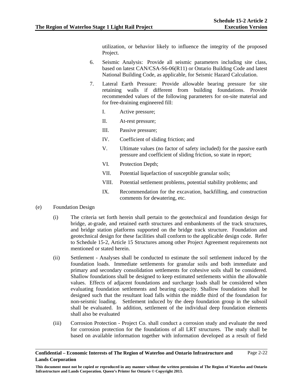utilization, or behavior likely to influence the integrity of the proposed Project.

- 6. Seismic Analysis: Provide all seismic parameters including site class, based on latest CAN/CSA-S6-06(R11) or Ontario Building Code and latest National Building Code, as applicable, for Seismic Hazard Calculation.
- 7. Lateral Earth Pressure: Provide allowable bearing pressure for site retaining walls if different from building foundations. Provide recommended values of the following parameters for on-site material and for free-draining engineered fill:
	- I. Active pressure;
	- II. At-rest pressure;
	- III. Passive pressure;
	- IV. Coefficient of sliding friction; and
	- V. Ultimate values (no factor of safety included) for the passive earth pressure and coefficient of sliding friction, so state in report;
	- VI. Protection Depth;
	- VII. Potential liquefaction of susceptible granular soils;
	- VIII. Potential settlement problems, potential stability problems; and
	- IX. Recommendation for the excavation, backfilling, and construction comments for dewatering, etc.
- (e) Foundation Design
	- (i) The criteria set forth herein shall pertain to the geotechnical and foundation design for bridge, at-grade, and retained earth structures and embankments of the track structures, and bridge station platforms supported on the bridge track structure. Foundation and geotechnical design for these facilities shall conform to the applicable design code. Refer to Schedule 15-2, Article 15 Structures among other Project Agreement requirements not mentioned or stated herein.
	- (ii) Settlement Analyses shall be conducted to estimate the soil settlement induced by the foundation loads. Immediate settlements for granular soils and both immediate and primary and secondary consolidation settlements for cohesive soils shall be considered. Shallow foundations shall be designed to keep estimated settlements within the allowable values. Effects of adjacent foundations and surcharge loads shall be considered when evaluating foundation settlements and bearing capacity. Shallow foundations shall be designed such that the resultant load falls within the middle third of the foundation for non-seismic loading. Settlement induced by the deep foundation group in the subsoil shall be evaluated. In addition, settlement of the individual deep foundation elements shall also be evaluated
	- (iii) Corrosion Protection Project Co. shall conduct a corrosion study and evaluate the need for corrosion protection for the foundations of all LRT structures. The study shall be based on available information together with information developed as a result of field

**Confidential – Economic Interests of The Region of Waterloo and Ontario Infrastructure and Lands Corporation**  Page 2-22

**This document must not be copied or reproduced in any manner without the written permission of The Region of Waterloo and Ontario Infrastructure and Lands Corporation. Queen's Printer for Ontario © Copyright 2013.**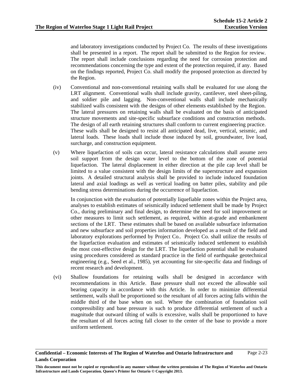and laboratory investigations conducted by Project Co. The results of these investigations shall be presented in a report. The report shall be submitted to the Region for review. The report shall include conclusions regarding the need for corrosion protection and recommendations concerning the type and extent of the protection required, if any. Based on the findings reported, Project Co. shall modify the proposed protection as directed by the Region.

- (iv) Conventional and non-conventional retaining walls shall be evaluated for use along the LRT alignment. Conventional walls shall include gravity, cantilever, steel sheet-piling, and soldier pile and lagging. Non-conventional walls shall include mechanically stabilized walls consistent with the designs of other elements established by the Region. The lateral pressures on retaining walls shall be evaluated on the basis of anticipated structure movements and site-specific subsurface conditions and construction methods. The design of all earth retaining structures shall conform to current engineering practice. These walls shall be designed to resist all anticipated dead, live, vertical, seismic, and lateral loads. These loads shall include those induced by soil, groundwater, live load, surcharge, and construction equipment.
- (v) Where liquefaction of soils can occur, lateral resistance calculations shall assume zero soil support from the design water level to the bottom of the zone of potential liquefaction. The lateral displacement in either direction at the pile cap level shall be limited to a value consistent with the design limits of the superstructure and expansion joints. A detailed structural analysis shall be provided to include induced foundation lateral and axial loadings as well as vertical loading on batter piles, stability and pile bending stress determinations during the occurrence of liquefaction.

In conjunction with the evaluation of potentially liquefiable zones within the Project area, analyses to establish estimates of seismically induced settlement shall be made by Project Co., during preliminary and final design, to determine the need for soil improvement or other measures to limit such settlement, as required, within at-grade and embankment sections of the LRT. These estimates shall be based on available subsurface information and new subsurface and soil properties information developed as a result of the field and laboratory explorations performed by Project Co.. Project Co. shall utilize the results of the liquefaction evaluation and estimates of seismically induced settlement to establish the most cost-effective design for the LRT. The liquefaction potential shall be evaluated using procedures considered as standard practice in the field of earthquake geotechnical engineering (e.g., Seed et al., 1985), yet accounting for site-specific data and findings of recent research and development.

(vi) Shallow foundations for retaining walls shall be designed in accordance with recommendations in this Article. Base pressure shall not exceed the allowable soil bearing capacity in accordance with this Article. In order to minimize differential settlement, walls shall be proportioned so the resultant of all forces acting falls within the middle third of the base when on soil. Where the combination of foundation soil compressibility and base pressure is such to produce differential settlement of such a magnitude that outward tilting of walls is excessive, walls shall be proportioned to have the resultant of all forces acting fall closer to the center of the base to provide a more uniform settlement.

**This document must not be copied or reproduced in any manner without the written permission of The Region of Waterloo and Ontario Infrastructure and Lands Corporation. Queen's Printer for Ontario © Copyright 2013.**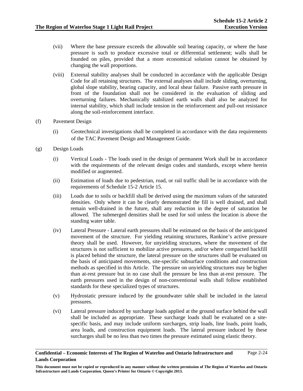- (vii) Where the base pressure exceeds the allowable soil bearing capacity, or where the base pressure is such to produce excessive total or differential settlement; walls shall be founded on piles, provided that a more economical solution cannot be obtained by changing the wall proportions.
- (viii) External stability analyses shall be conducted in accordance with the applicable Design Code for all retaining structures. The external analyses shall include sliding, overturning, global slope stability, bearing capacity, and local shear failure. Passive earth pressure in front of the foundation shall not be considered in the evaluation of sliding and overturning failures. Mechanically stabilized earth walls shall also be analyzed for internal stability, which shall include tension in the reinforcement and pull-out resistance along the soil-reinforcement interface.
- (f) Pavement Design
	- (i) Geotechnical investigations shall be completed in accordance with the data requirements of the TAC Pavement Design and Management Guide.
- (g) Design Loads
	- (i) Vertical Loads The loads used in the design of permanent Work shall be in accordance with the requirements of the relevant design codes and standards, except where herein modified or augmented.
	- (ii) Estimation of loads due to pedestrian, road, or rail traffic shall be in accordance with the requirements of Schedule 15-2 Article 15.
	- (iii) Loads due to soils or backfill shall be derived using the maximum values of the saturated densities. Only where it can be clearly demonstrated the fill is well drained, and shall remain well-drained in the future, shall any reduction in the degree of saturation be allowed. The submerged densities shall be used for soil unless the location is above the standing water table.
	- (iv) Lateral Pressure Lateral earth pressures shall be estimated on the basis of the anticipated movement of the structure. For yielding retaining structures, Rankine's active pressure theory shall be used. However, for unyielding structures, where the movement of the structures is not sufficient to mobilize active pressures, and/or where compacted backfill is placed behind the structure, the lateral pressure on the structures shall be evaluated on the basis of anticipated movements, site-specific subsurface conditions and construction methods as specified in this Article. The pressure on unyielding structures may be higher than at-rest pressure but in no case shall the pressure be less than at-rest pressure. The earth pressures used in the design of non-conventional walls shall follow established standards for these specialized types of structures.
	- (v) Hydrostatic pressure induced by the groundwater table shall be included in the lateral pressures.
	- (vi) Lateral pressure induced by surcharge loads applied at the ground surface behind the wall shall be included as appropriate. These surcharge loads shall be evaluated on a sitespecific basis, and may include uniform surcharges, strip loads, line loads, point loads, area loads, and construction equipment loads. The lateral pressure induced by these surcharges shall be no less than two times the pressure estimated using elastic theory.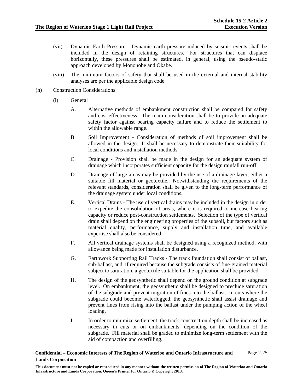- (vii) Dynamic Earth Pressure Dynamic earth pressure induced by seismic events shall be included in the design of retaining structures. For structures that can displace horizontally, these pressures shall be estimated, in general, using the pseudo-static approach developed by Mononobe and Okabe.
- (viii) The minimum factors of safety that shall be used in the external and internal stability analyses are per the applicable design code.
- (h) Construction Considerations
	- (i) General
		- A. Alternative methods of embankment construction shall be compared for safety and cost-effectiveness. The main consideration shall be to provide an adequate safety factor against bearing capacity failure and to reduce the settlement to within the allowable range.
		- B. Soil Improvement Consideration of methods of soil improvement shall be allowed in the design. It shall be necessary to demonstrate their suitability for local conditions and installation methods.
		- C. Drainage Provision shall be made in the design for an adequate system of drainage which incorporates sufficient capacity for the design rainfall run-off.
		- D. Drainage of large areas may be provided by the use of a drainage layer, either a suitable fill material or geotextile. Notwithstanding the requirements of the relevant standards, consideration shall be given to the long-term performance of the drainage system under local conditions.
		- E. Vertical Drains The use of vertical drains may be included in the design in order to expedite the consolidation of areas, where it is required to increase bearing capacity or reduce post-construction settlements. Selection of the type of vertical drain shall depend on the engineering properties of the subsoil, but factors such as material quality, performance, supply and installation time, and available expertise shall also be considered.
		- F. All vertical drainage systems shall be designed using a recognized method, with allowance being made for installation disturbance.
		- G. Earthwork Supporting Rail Tracks The track foundation shall consist of ballast, sub-ballast, and, if required because the subgrade consists of fine-grained material subject to saturation, a geotextile suitable for the application shall be provided.
		- H. The design of the geosynthetic shall depend on the ground condition at subgrade level. On embankment, the geosynthetic shall be designed to preclude saturation of the subgrade and prevent migration of fines into the ballast. In cuts where the subgrade could become waterlogged, the geosynthetic shall assist drainage and prevent fines from rising into the ballast under the pumping action of the wheel loading.
		- I. In order to minimize settlement, the track construction depth shall be increased as necessary in cuts or on embankments, depending on the condition of the subgrade. Fill material shall be graded to minimize long-term settlement with the aid of compaction and overfilling.

**This document must not be copied or reproduced in any manner without the written permission of The Region of Waterloo and Ontario Infrastructure and Lands Corporation. Queen's Printer for Ontario © Copyright 2013.**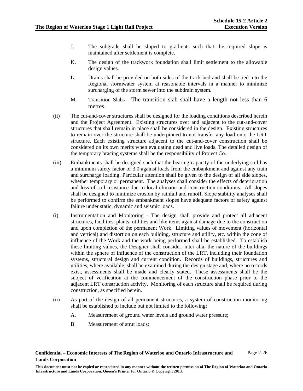- J. The subgrade shall be sloped to gradients such that the required slope is maintained after settlement is complete.
- K. The design of the trackwork foundation shall limit settlement to the allowable design values.
- L. Drains shall be provided on both sides of the track bed and shall be tied into the Regional stormwater system at reasonable intervals in a manner to minimize surcharging of the storm sewer into the subdrain system.
- M. Transition Slabs The transition slab shall have a length not less than 6 metres.
- (ii) The cut-and-cover structures shall be designed for the loading conditions described herein and the Project Agreement. Existing structures over and adjacent to the cut-and-cover structures that shall remain in place shall be considered in the design. Existing structures to remain over the structure shall be underpinned to not transfer any load onto the LRT structure. Each existing structure adjacent to the cut-and-cover construction shall be considered on its own merits when evaluating dead and live loads. The detailed design of the temporary bracing systems shall be the responsibility of Project Co.
- (iii) Embankments shall be designed such that the bearing capacity of the underlying soil has a minimum safety factor of 3.0 against loads from the embankment and against any train and surcharge loading. Particular attention shall be given to the design of all side slopes, whether temporary or permanent. The analyses shall consider the effects of deterioration and loss of soil resistance due to local climatic and construction conditions. All slopes shall be designed to minimize erosion by rainfall and runoff. Slope stability analyses shall be performed to confirm the embankment slopes have adequate factors of safety against failure under static, dynamic and seismic loads.
- (i) Instrumentation and Monitoring The design shall provide and protect all adjacent structures, facilities, plants, utilities and like items against damage due to the construction and upon completion of the permanent Work. Limiting values of movement (horizontal and vertical) and distortion on each building, structure and utility, etc. within the zone of influence of the Work and the work being performed shall be established. To establish these limiting values, the Designer shall consider, inter alia, the nature of the buildings within the sphere of influence of the construction of the LRT, including their foundation systems, structural design and current condition. Records of buildings, structures and utilities, where available, shall be examined during the design stage and, where no records exist, assessments shall be made and clearly stated. These assessments shall be the subject of verification at the commencement of the construction phase prior to the adjacent LRT construction activity. Monitoring of each structure shall be required during construction, as specified herein.
- (ii) As part of the design of all permanent structures, a system of construction monitoring shall be established to include but not limited to the following:
	- A. Measurement of ground water levels and ground water pressure;
	- B. Measurement of strut loads;

Page 2-26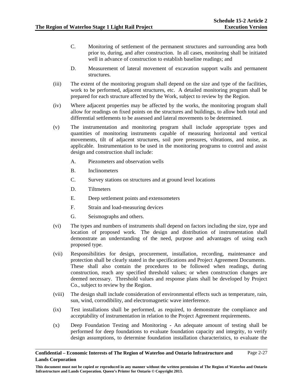- C. Monitoring of settlement of the permanent structures and surrounding area both prior to, during, and after construction. In all cases, monitoring shall be initiated well in advance of construction to establish baseline readings; and
- D. Measurement of lateral movement of excavation support walls and permanent structures.
- (iii) The extent of the monitoring program shall depend on the size and type of the facilities, work to be performed, adjacent structures, etc. A detailed monitoring program shall be prepared for each structure affected by the Work, subject to review by the Region.
- (iv) Where adjacent properties may be affected by the works, the monitoring program shall allow for readings on fixed points on the structures and buildings, to allow both total and differential settlements to be assessed and lateral movements to be determined.
- (v) The instrumentation and monitoring program shall include appropriate types and quantities of monitoring instruments capable of measuring horizontal and vertical movements, tilt of adjacent structures, soil pore pressures, vibrations, and noise, as applicable. Instrumentation to be used in the monitoring programs to control and assist design and construction shall include:
	- A. Piezometers and observation wells
	- B. Inclinometers
	- C. Survey stations on structures and at ground level locations
	- D. Tiltmeters
	- E. Deep settlement points and extensometers
	- F. Strain and load-measuring devices
	- G. Seismographs and others.
- (vi) The types and numbers of instruments shall depend on factors including the size, type and location of proposed work. The design and distribution of instrumentation shall demonstrate an understanding of the need, purpose and advantages of using each proposed type.
- (vii) Responsibilities for design, procurement, installation, recording, maintenance and protection shall be clearly stated in the specifications and Project Agreement Documents. These shall also contain the procedures to be followed when readings, during construction, reach any specified threshold values; or when construction changes are deemed necessary. Threshold values and response plans shall be developed by Project Co., subject to review by the Region.
- (viii) The design shall include consideration of environmental effects such as temperature, rain, sun, wind, corrodibility, and electromagnetic wave interference.
- (ix) Test installations shall be performed, as required, to demonstrate the compliance and acceptability of instrumentation in relation to the Project Agreement requirements.
- (x) Deep Foundation Testing and Monitoring An adequate amount of testing shall be performed for deep foundations to evaluate foundation capacity and integrity, to verify design assumptions, to determine foundation installation characteristics, to evaluate the

**This document must not be copied or reproduced in any manner without the written permission of The Region of Waterloo and Ontario Infrastructure and Lands Corporation. Queen's Printer for Ontario © Copyright 2013.**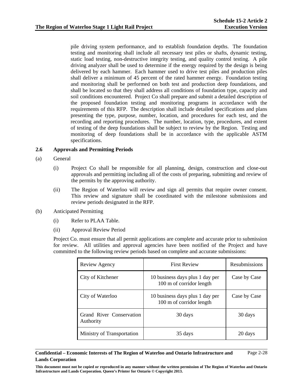pile driving system performance, and to establish foundation depths. The foundation testing and monitoring shall include all necessary test piles or shafts, dynamic testing, static load testing, non-destructive integrity testing, and quality control testing. A pile driving analyzer shall be used to determine if the energy required by the design is being delivered by each hammer. Each hammer used to drive test piles and production piles shall deliver a minimum of 45 percent of the rated hammer energy. Foundation testing and monitoring shall be performed on both test and production deep foundations, and shall be located so that they shall address all conditions of foundation type, capacity and soil conditions encountered. Project Co shall prepare and submit a detailed description of the proposed foundation testing and monitoring programs in accordance with the requirements of this RFP. The description shall include detailed specifications and plans presenting the type, purpose, number, location, and procedures for each test, and the recording and reporting procedures. The number, location, type, procedures, and extent of testing of the deep foundations shall be subject to review by the Region. Testing and monitoring of deep foundations shall be in accordance with the applicable ASTM specifications.

## **2.6 Approvals and Permitting Periods**

- (a) General
	- (i) Project Co shall be responsible for all planning, design, construction and close-out approvals and permitting including all of the costs of preparing, submitting and review of the permits by the approving authority.
	- (ii) The Region of Waterloo will review and sign all permits that require owner consent. This review and signature shall be coordinated with the milestone submissions and review periods designated in the RFP.

# (b) Anticipated Permitting

- (i) Refer to PLAA Table.
- (ii) Approval Review Period

Project Co. must ensure that all permit applications are complete and accurate prior to submission for review. All utilities and approval agencies have been notified of the Project and have committed to the following review periods based on complete and accurate submissions:

| Review Agency                         | <b>First Review</b>                                         | Resubmissions |
|---------------------------------------|-------------------------------------------------------------|---------------|
| City of Kitchener                     | 10 business days plus 1 day per<br>100 m of corridor length | Case by Case  |
| City of Waterloo                      | 10 business days plus 1 day per<br>100 m of corridor length | Case by Case  |
| Grand River Conservation<br>Authority | 30 days                                                     | 30 days       |
| Ministry of Transportation            | 35 days                                                     | 20 days       |

### **Confidential – Economic Interests of The Region of Waterloo and Ontario Infrastructure and Lands Corporation**  Page 2-28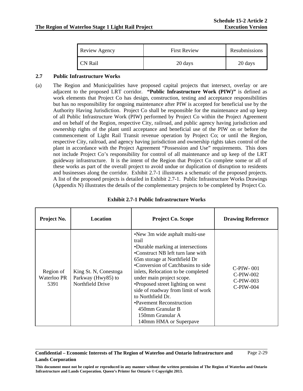| Review Agency  | <b>First Review</b> | Resubmissions |
|----------------|---------------------|---------------|
| <b>CN Rail</b> | 20 days             | 20 days       |

# **2.7 Public Infrastructure Works**

(a) The Region and Municipalities have proposed capital projects that intersect, overlay or are adjacent to the proposed LRT corridor. **"Public Infrastructure Work (PIW)"** is defined as work elements that Project Co has design, construction, testing and acceptance responsibilities but has no responsibility for ongoing maintenance after PIW is accepted for beneficial use by the Authority Having Jurisdiction. Project Co shall be responsible for the maintenance and up keep of all Public Infrastructure Work (PIW) performed by Project Co within the Project Agreement and on behalf of the Region, respective City, railroad, and public agency having jurisdiction and ownership rights of the plant until acceptance and beneficial use of the PIW on or before the commencement of Light Rail Transit revenue operation by Project Co; or until the Region, respective City, railroad, and agency having jurisdiction and ownership rights takes control of the plant in accordance with the Project Agreement "Possession and Use" requirements. This does not include Project Co's responsibility for control of all maintenance and up keep of the LRT guideway infrastructure. It is the intent of the Region that Project Co complete some or all of these works as part of the overall project to avoid undue or duplication of disruption to residents and businesses along the corridor. Exhibit 2.7-1 illustrates a schematic of the proposed projects. A list of the proposed projects is detailed in Exhibit 2.7-1. Public Infrastructure Works Drawings (Appendix N) illustrates the details of the complementary projects to be completed by Project Co.

| Project No.                      | <b>Location</b>                                                 | Project Co. Scope                                                                                                                                                                                                                                                                                                                                                                                                                                        | <b>Drawing Reference</b>                                 |
|----------------------------------|-----------------------------------------------------------------|----------------------------------------------------------------------------------------------------------------------------------------------------------------------------------------------------------------------------------------------------------------------------------------------------------------------------------------------------------------------------------------------------------------------------------------------------------|----------------------------------------------------------|
| Region of<br>Waterloo PR<br>5391 | King St. N, Conestoga<br>Parkway (Hwy85) to<br>Northfield Drive | •New 3m wide asphalt multi-use<br>trail<br>•Durable marking at intersections<br>•Construct NB left turn lane with<br>65m storage at Northfield Dr<br>•Conversion of Catchbasins to side<br>inlets, Relocation to be completed<br>under main project scope.<br>•Proposed street lighting on west<br>side of roadway from limit of work<br>to Northfield Dr.<br>•Pavement Reconstruction<br>450mm Granular B<br>150mm Granular A<br>140mm HMA or Superpave | $C-PIW-001$<br>$C-PIW-002$<br>$C-PIW-003$<br>$C-PIW-004$ |

# **Exhibit 2.7-1 Public Infrastructure Works**

### **Confidential – Economic Interests of The Region of Waterloo and Ontario Infrastructure and Lands Corporation**  Page 2-29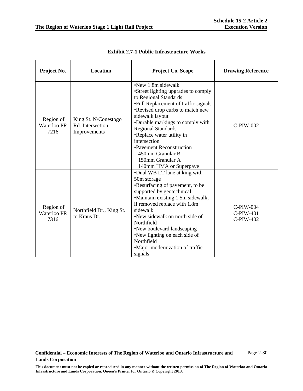| Project No.                      | <b>Location</b>                                          | <b>Project Co. Scope</b>                                                                                                                                                                                                                                                                                                                                                                               | <b>Drawing Reference</b>              |
|----------------------------------|----------------------------------------------------------|--------------------------------------------------------------------------------------------------------------------------------------------------------------------------------------------------------------------------------------------------------------------------------------------------------------------------------------------------------------------------------------------------------|---------------------------------------|
| Region of<br>Waterloo PR<br>7216 | King St. N/Conestogo<br>Rd. Intersection<br>Improvements | $\bullet$ New 1.8m sidewalk<br>•Street lighting upgrades to comply<br>to Regional Standards<br>•Full Replacement of traffic signals<br>•Revised drop curbs to match new<br>sidewalk layout<br>•Durable markings to comply with<br><b>Regional Standards</b><br>•Replace water utility in<br>intersection<br>•Pavement Reconstruction<br>450mm Granular B<br>150mm Granular A<br>140mm HMA or Superpave | C-PIW-002                             |
| Region of<br>Waterloo PR<br>7316 | Northfield Dr., King St.<br>to Kraus Dr.                 | •Dual WB LT lane at king with<br>50m storage<br>•Resurfacing of pavement, to be<br>supported by geotechnical<br>•Maintain existing 1.5m sidewalk,<br>if removed replace with 1.8m<br>sidewalk<br>•New sidewalk on north side of<br>Northfield<br>•New boulevard landscaping<br>•New lighting on each side of<br>Northfield<br>•Major modernization of traffic<br>signals                               | C-PIW-004<br>C-PIW-401<br>$C-PIW-402$ |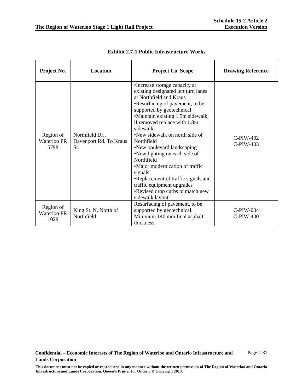| Project No.                      | <b>Location</b>                                  | <b>Project Co. Scope</b>                                                                                                                                                                                                                                                                                                                                                                                                                                                                                                                                | <b>Drawing Reference</b>    |
|----------------------------------|--------------------------------------------------|---------------------------------------------------------------------------------------------------------------------------------------------------------------------------------------------------------------------------------------------------------------------------------------------------------------------------------------------------------------------------------------------------------------------------------------------------------------------------------------------------------------------------------------------------------|-----------------------------|
| Region of<br>Waterloo PR<br>5798 | Northfield Dr.,<br>Davenport Rd. To Kraus<br>St. | •Increase storage capacity at<br>existing designated left turn lanes<br>at Northfield and Kraus<br>•Resurfacing of pavement, to be<br>supported by geotechnical<br>•Maintain existing 1.5m sidewalk,<br>if removed replace with 1.8m<br>sidewalk<br>•New sidewalk on north side of<br>Northfield<br>•New boulevard landscaping<br>•New lighting on each side of<br>Northfield<br>•Major modernization of traffic<br>signals<br>•Replacement of traffic signals and<br>traffic equipment upgrades<br>•Revised drop curbs to match new<br>sidewalk layout | $C-PIW-402$<br>$C$ -PIW-403 |
| Region of<br>Waterloo PR<br>1028 | King St. N, North of<br>Northfield               | Resurfacing of pavement, to be<br>supported by geotechnical.<br>Minimum 140 mm final asphalt<br>thickness                                                                                                                                                                                                                                                                                                                                                                                                                                               | $C-PIW-004$<br>$C-PIW-400$  |

**Exhibit 2.7-1 Public Infrastructure Works**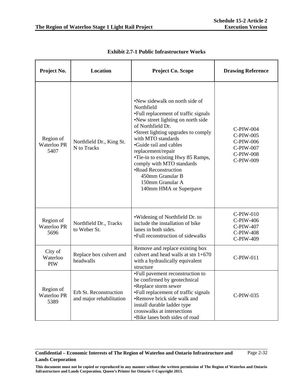| Project No.                      | Location                                           | Project Co. Scope                                                                                                                                                                                                                                                                                                                                                                                                        | <b>Drawing Reference</b>                                                          |
|----------------------------------|----------------------------------------------------|--------------------------------------------------------------------------------------------------------------------------------------------------------------------------------------------------------------------------------------------------------------------------------------------------------------------------------------------------------------------------------------------------------------------------|-----------------------------------------------------------------------------------|
| Region of<br>Waterloo PR<br>5407 | Northfield Dr., King St.<br>N to Tracks            | •New sidewalk on north side of<br>Northfield<br>•Full replacement of traffic signals<br>•New street lighting on north side<br>of Northfield Dr.<br>•Street lighting upgrades to comply<br>with MTO standards<br>•Guide rail and cables<br>replacement/repair<br>•Tie-in to existing Hwy 85 Ramps,<br>comply with MTO standards<br>•Road Reconstruction<br>450mm Granular B<br>150mm Granular A<br>140mm HMA or Superpave | C-PIW-004<br>C-PIW-005<br>C-PIW-006<br>C-PIW-007<br><b>C-PIW-008</b><br>C-PIW-009 |
| Region of<br>Waterloo PR<br>5696 | Northfield Dr., Tracks<br>to Weber St.             | •Widening of Northfield Dr. to<br>include the installation of bike<br>lanes in both sides.<br>•Full reconstruction of sidewalks                                                                                                                                                                                                                                                                                          | $C$ -PIW-010<br>C-PIW-406<br>C-PIW-407<br><b>C-PIW-408</b><br>C-PIW-409           |
| City of<br>Waterloo<br>PIW       | Replace box culvert and<br>headwalls               | Remove and replace existing box<br>culvert and head walls at stn $1+670$<br>with a hydraulically equivalent<br>structure                                                                                                                                                                                                                                                                                                 | C-PIW-011                                                                         |
| Region of<br>Waterloo PR<br>5389 | Erb St. Reconstruction<br>and major rehabilitation | •Full pavement reconstruction to<br>be confirmed by geotechnical<br>•Replace storm sewer<br>•Full replacement of traffic signals<br>•Remove brick side walk and<br>install durable ladder type<br>crosswalks at intersections<br>•Bike lanes both sides of road                                                                                                                                                          | C-PIW-035                                                                         |

**Exhibit 2.7-1 Public Infrastructure Works**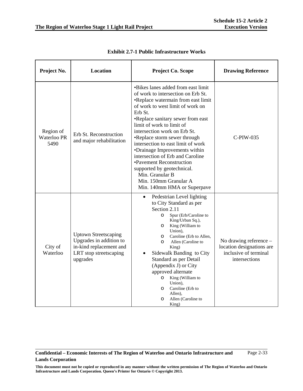Page 2-33

| Project No.                      | <b>Location</b>                                                                                                         | <b>Project Co. Scope</b>                                                                                                                                                                                                                                                                                                                                                                                                                                                                                                                        | <b>Drawing Reference</b>                                                                        |
|----------------------------------|-------------------------------------------------------------------------------------------------------------------------|-------------------------------------------------------------------------------------------------------------------------------------------------------------------------------------------------------------------------------------------------------------------------------------------------------------------------------------------------------------------------------------------------------------------------------------------------------------------------------------------------------------------------------------------------|-------------------------------------------------------------------------------------------------|
| Region of<br>Waterloo PR<br>5490 | Erb St. Reconstruction<br>and major rehabilitation                                                                      | •Bikes lanes added from east limit<br>of work to intersection on Erb St.<br>•Replace watermain from east limit<br>of work to west limit of work on<br>Erb St.<br>•Replace sanitary sewer from east<br>limit of work to limit of<br>intersection work on Erb St.<br>•Replace storm sewer through<br>intersection to east limit of work<br>•Drainage Improvements within<br>intersection of Erb and Caroline<br>•Pavement Reconstruction<br>supported by geotechnical.<br>Min. Granular B<br>Min. 150mm Granular A<br>Min. 140mm HMA or Superpave | C-PIW-035                                                                                       |
| City of<br>Waterloo              | <b>Uptown Streetscaping</b><br>Upgrades in addition to<br>in-kind replacement and<br>LRT stop streetscaping<br>upgrades | Pedestrian Level lighting<br>$\bullet$<br>to City Standard as per<br>Section 2.11<br>Spur (Erb/Caroline to<br>$\circ$<br>King/Urban Sq.),<br>King (William to<br>$\circ$<br>Union),<br>Caroline (Erb to Allen,<br>O<br>Allen (Caroline to<br>$\circ$<br>King)<br>Sidewalk Banding to City<br>$\bullet$<br>Standard as per Detail<br>(Appendix J) or City<br>approved alternate<br>King (William to<br>$\circ$<br>Union),<br>Caroline (Erb to<br>$\circ$<br>Allen),<br>Allen (Caroline to<br>$\circ$<br>King)                                    | No drawing reference $-$<br>location designations are<br>inclusive of terminal<br>intersections |

**Exhibit 2.7-1 Public Infrastructure Works**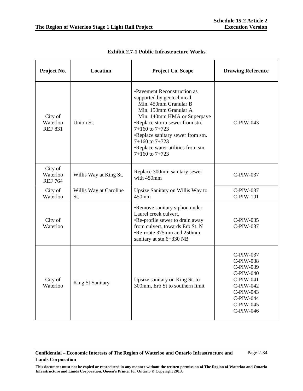| Project No.                           | <b>Location</b>               | Project Co. Scope                                                                                                                                                                                                                                                                                                         | <b>Drawing Reference</b>                                                                                                       |
|---------------------------------------|-------------------------------|---------------------------------------------------------------------------------------------------------------------------------------------------------------------------------------------------------------------------------------------------------------------------------------------------------------------------|--------------------------------------------------------------------------------------------------------------------------------|
| City of<br>Waterloo<br><b>REF 831</b> | Union St.                     | •Pavement Reconstruction as<br>supported by geotechnical.<br>Min. 450mm Granular B<br>Min. 150mm Granular A<br>Min. 140mm HMA or Superpave<br>•Replace storm sewer from stn.<br>$7+160$ to $7+723$<br>•Replace sanitary sewer from stn.<br>$7+160$ to $7+723$<br>•Replace water utilities from stn.<br>$7+160$ to $7+723$ | $C-PIW-043$                                                                                                                    |
| City of<br>Waterloo<br><b>REF 764</b> | Willis Way at King St.        | Replace 300mm sanitary sewer<br>with 450mm                                                                                                                                                                                                                                                                                | C-PIW-037                                                                                                                      |
| City of<br>Waterloo                   | Willis Way at Caroline<br>St. | Upsize Sanitary on Willis Way to<br>450mm                                                                                                                                                                                                                                                                                 | C-PIW-037<br>C-PIW-101                                                                                                         |
| City of<br>Waterloo                   |                               | •Remove sanitary siphon under<br>Laurel creek culvert.<br>•Re-profile sewer to drain away<br>from culvert, towards Erb St. N<br>•Re-route 375mm and 250mm<br>sanitary at stn 6+330 NB                                                                                                                                     | C-PIW-035<br>C-PIW-037                                                                                                         |
| City of<br>Waterloo                   | King St Sanitary              | Upsize sanitary on King St. to<br>300mm, Erb St to southern limit                                                                                                                                                                                                                                                         | C-PIW-037<br>C-PIW-038<br>C-PIW-039<br>C-PIW-040<br>C-PIW-041<br>C-PIW-042<br>C-PIW-043<br>C-PIW-044<br>C-PIW-045<br>C-PIW-046 |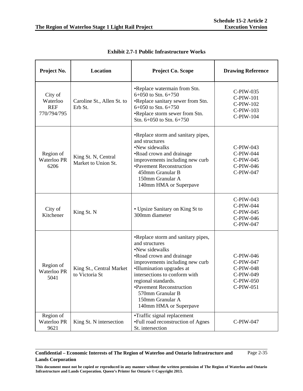| Project No.                                      | Location                                   | <b>Project Co. Scope</b>                                                                                                                                                                                                                                                                                                 | <b>Drawing Reference</b>                                                   |
|--------------------------------------------------|--------------------------------------------|--------------------------------------------------------------------------------------------------------------------------------------------------------------------------------------------------------------------------------------------------------------------------------------------------------------------------|----------------------------------------------------------------------------|
| City of<br>Waterloo<br><b>REF</b><br>770/794/795 | Caroline St., Allen St. to<br>Erb St.      | •Replace watermain from Stn.<br>6+050 to Stn. 6+750<br>•Replace sanitary sewer from Stn.<br>6+050 to Stn. 6+750<br>•Replace storm sewer from Stn.<br>Stn. 6+050 to Stn. 6+750                                                                                                                                            | C-PIW-035<br><b>C-PIW-101</b><br>C-PIW-102<br>$C$ -PIW-103<br>C-PIW-104    |
| Region of<br>Waterloo PR<br>6206                 | King St. N, Central<br>Market to Union St. | •Replace storm and sanitary pipes,<br>and structures<br>•New sidewalks<br>•Road crown and drainage<br>improvements including new curb<br>•Pavement Reconstruction<br>450mm Granular B<br>150mm Granular A<br>140mm HMA or Superpave                                                                                      | $C-PIW-043$<br>C-PIW-044<br>C-PIW-045<br>C-PIW-046<br>C-PIW-047            |
| City of<br>Kitchener                             | King St. N                                 | • Upsize Sanitary on King St to<br>300mm diameter                                                                                                                                                                                                                                                                        | $C-PIW-043$<br>C-PIW-044<br>$C-PIW-045$<br>C-PIW-046<br>C-PIW-047          |
| Region of<br>Waterloo PR<br>5041                 | King St., Central Market<br>to Victoria St | •Replace storm and sanitary pipes,<br>and structures<br>•New sidewalks<br>•Road crown and drainage<br>improvements including new curb<br>•Illumination upgrades at<br>intersections to conform with<br>regional standards.<br>•Pavement Reconstruction<br>570mm Granular B<br>150mm Granular A<br>140mm HMA or Superpave | C-PIW-046<br>C-PIW-047<br>C-PIW-048<br>C-PIW-049<br>C-PIW-050<br>C-PIW-051 |
| Region of<br>Waterloo PR<br>9621                 | King St. N intersection                    | •Traffic signal replacement<br>•Full road reconstruction of Agnes<br>St. intersection                                                                                                                                                                                                                                    | C-PIW-047                                                                  |

### **Confidential – Economic Interests of The Region of Waterloo and Ontario Infrastructure and Lands Corporation**  Page 2-35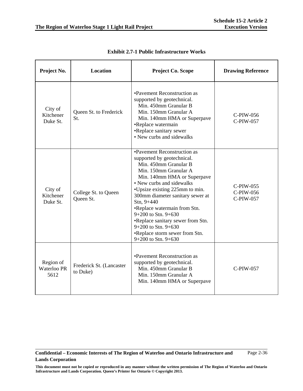| Project No.                      | Location                             | <b>Project Co. Scope</b>                                                                                                                                                                                                                                                                                                                                                                                                                              | <b>Drawing Reference</b>            |
|----------------------------------|--------------------------------------|-------------------------------------------------------------------------------------------------------------------------------------------------------------------------------------------------------------------------------------------------------------------------------------------------------------------------------------------------------------------------------------------------------------------------------------------------------|-------------------------------------|
| City of<br>Kitchener<br>Duke St. | Queen St. to Frederick<br>St.        | •Pavement Reconstruction as<br>supported by geotechnical.<br>Min. 450mm Granular B<br>Min. 150mm Granular A<br>Min. 140mm HMA or Superpave<br>•Replace watermain<br>•Replace sanitary sewer<br>• New curbs and sidewalks                                                                                                                                                                                                                              | C-PIW-056<br>C-PIW-057              |
| City of<br>Kitchener<br>Duke St. | College St. to Queen<br>Queen St.    | •Pavement Reconstruction as<br>supported by geotechnical.<br>Min. 450mm Granular B<br>Min. 150mm Granular A<br>Min. 140mm HMA or Superpave<br>• New curbs and sidewalks<br>•Upsize existing 225mm to min.<br>300mm diameter sanitary sewer at<br>$Stn, 9+440$<br>•Replace watermain from Stn.<br>$9+200$ to Stn. $9+630$<br>•Replace sanitary sewer from Stn.<br>$9+200$ to Stn. $9+630$<br>•Replace storm sewer from Stn.<br>$9+200$ to Stn. $9+630$ | C-PIW-055<br>C-PIW-056<br>C-PIW-057 |
| Region of<br>Waterloo PR<br>5612 | Frederick St. (Lancaster<br>to Duke) | •Pavement Reconstruction as<br>supported by geotechnical.<br>Min. 450mm Granular B<br>Min. 150mm Granular A<br>Min. 140mm HMA or Superpave                                                                                                                                                                                                                                                                                                            | C-PIW-057                           |

**Exhibit 2.7-1 Public Infrastructure Works**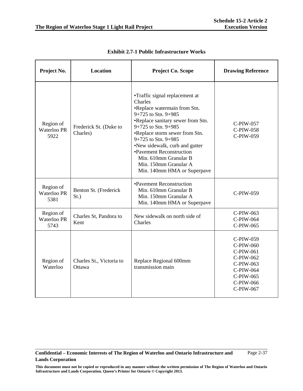| Project No.                             | <b>Location</b>                    | <b>Project Co. Scope</b>                                                                                                                                                                                                                                                                                                                                             | <b>Drawing Reference</b>                                                                                          |
|-----------------------------------------|------------------------------------|----------------------------------------------------------------------------------------------------------------------------------------------------------------------------------------------------------------------------------------------------------------------------------------------------------------------------------------------------------------------|-------------------------------------------------------------------------------------------------------------------|
| Region of<br>Waterloo PR<br>5922        | Frederick St. (Duke to<br>Charles) | •Traffic signal replacement at<br>Charles<br>•Replace watermain from Stn.<br>9+725 to Stn. 9+985<br>•Replace sanitary sewer from Stn.<br>9+725 to Stn. 9+985<br>•Replace storm sewer from Stn.<br>9+725 to Stn. 9+985<br>•New sidewalk, curb and gutter<br>•Pavement Reconstruction<br>Min. 610mm Granular B<br>Min. 150mm Granular A<br>Min. 140mm HMA or Superpave | C-PIW-057<br>C-PIW-058<br>C-PIW-059                                                                               |
| Region of<br><b>Waterloo PR</b><br>5381 | Benton St. (Frederick<br>$St.$ )   | •Pavement Reconstruction<br>Min. 610mm Granular B<br>Min. 150mm Granular A<br>Min. 140mm HMA or Superpave                                                                                                                                                                                                                                                            | C-PIW-059                                                                                                         |
| Region of<br><b>Waterloo PR</b><br>5743 | Charles St, Pandora to<br>Kent     | New sidewalk on north side of<br>Charles                                                                                                                                                                                                                                                                                                                             | C-PIW-063<br>C-PIW-064<br>C-PIW-065                                                                               |
| Region of<br>Waterloo                   | Charles St., Victoria to<br>Ottawa | Replace Regional 600mm<br>transmission main                                                                                                                                                                                                                                                                                                                          | C-PIW-059<br>C-PIW-060<br>C-PIW-061<br>C-PIW-062<br>C-PIW-063<br>C-PIW-064<br>C-PIW-065<br>C-PIW-066<br>C-PIW-067 |

**Exhibit 2.7-1 Public Infrastructure Works**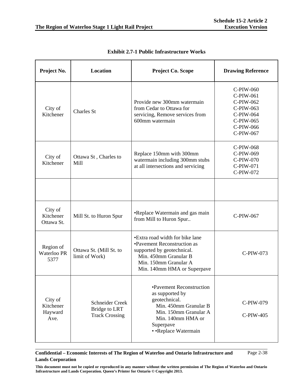| Project No.                             | Location                                                         | <b>Project Co. Scope</b>                                                                                                                                                      | <b>Drawing Reference</b>                                                                             |
|-----------------------------------------|------------------------------------------------------------------|-------------------------------------------------------------------------------------------------------------------------------------------------------------------------------|------------------------------------------------------------------------------------------------------|
| City of<br>Kitchener                    | <b>Charles St</b>                                                | Provide new 300mm watermain<br>from Cedar to Ottawa for<br>servicing, Remove services from<br>600mm watermain                                                                 | C-PIW-060<br>C-PIW-061<br>C-PIW-062<br>C-PIW-063<br>C-PIW-064<br>C-PIW-065<br>C-PIW-066<br>C-PIW-067 |
| City of<br>Kitchener                    | Ottawa St, Charles to<br>Mill                                    | Replace 150mm with 300mm<br>watermain including 300mm stubs<br>at all intersections and servicing                                                                             | C-PIW-068<br>C-PIW-069<br>C-PIW-070<br>C-PIW-071<br>C-PIW-072                                        |
|                                         |                                                                  |                                                                                                                                                                               |                                                                                                      |
| City of<br>Kitchener<br>Ottawa St.      | Mill St. to Huron Spur                                           | •Replace Watermain and gas main<br>from Mill to Huron Spur                                                                                                                    | C-PIW-067                                                                                            |
| Region of<br>Waterloo PR<br>5377        | Ottawa St. (Mill St. to<br>limit of Work)                        | •Extra road width for bike lane<br>•Pavement Reconstruction as<br>supported by geotechnical.<br>Min. 450mm Granular B<br>Min. 150mm Granular A<br>Min. 140mm HMA or Superpave | C-PIW-073                                                                                            |
| City of<br>Kitchener<br>Hayward<br>Ave. | Schneider Creek<br><b>Bridge to LRT</b><br><b>Track Crossing</b> | •Pavement Reconstruction<br>as supported by<br>geotechnical.<br>Min. 450mm Granular B<br>Min. 150mm Granular A<br>Min. 140mm HMA or<br>Superpave<br>• • Replace Watermain     | C-PIW-079<br>C-PIW-405                                                                               |

**Exhibit 2.7-1 Public Infrastructure Works** 

### **Confidential – Economic Interests of The Region of Waterloo and Ontario Infrastructure and Lands Corporation**  Page 2-38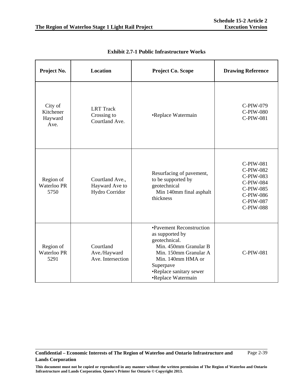| Project No.                             | <b>Location</b>                                     | Project Co. Scope                                                                                                                                                                                 | <b>Drawing Reference</b>                                                                                           |
|-----------------------------------------|-----------------------------------------------------|---------------------------------------------------------------------------------------------------------------------------------------------------------------------------------------------------|--------------------------------------------------------------------------------------------------------------------|
| City of<br>Kitchener<br>Hayward<br>Ave. | <b>LRT</b> Track<br>Crossing to<br>Courtland Ave.   | •Replace Watermain                                                                                                                                                                                | C-PIW-079<br><b>C-PIW-080</b><br>C-PIW-081                                                                         |
| Region of<br><b>Waterloo PR</b><br>5750 | Courtland Ave.,<br>Hayward Ave to<br>Hydro Corridor | Resurfacing of pavement,<br>to be supported by<br>geotechnical<br>Min 140mm final asphalt<br>thickness                                                                                            | C-PIW-081<br>C-PIW-082<br>C-PIW-083<br><b>C-PIW-084</b><br>C-PIW-085<br>C-PIW-086<br>C-PIW-087<br><b>C-PIW-088</b> |
| Region of<br>Waterloo PR<br>5291        | Courtland<br>Ave./Hayward<br>Ave. Intersection      | •Pavement Reconstruction<br>as supported by<br>geotechnical.<br>Min. 450mm Granular B<br>Min. 150mm Granular A<br>Min. 140mm HMA or<br>Superpave<br>•Replace sanitary sewer<br>•Replace Watermain | <b>C-PIW-081</b>                                                                                                   |

**Exhibit 2.7-1 Public Infrastructure Works**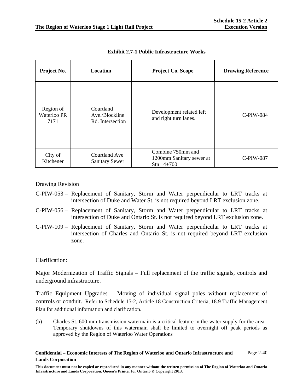| Project No.                      | Location                                        | Project Co. Scope                                             | <b>Drawing Reference</b> |
|----------------------------------|-------------------------------------------------|---------------------------------------------------------------|--------------------------|
| Region of<br>Waterloo PR<br>7171 | Courtland<br>Ave./Blockline<br>Rd. Intersection | Development related left<br>and right turn lanes.             | <b>C-PIW-084</b>         |
| City of<br>Kitchener             | Courtland Ave<br><b>Sanitary Sewer</b>          | Combine 750mm and<br>1200mm Sanitary sewer at<br>Stn $14+700$ | C-PIW-087                |

**Exhibit 2.7-1 Public Infrastructure Works** 

Drawing Revision

- C-PIW-053 Replacement of Sanitary, Storm and Water perpendicular to LRT tracks at intersection of Duke and Water St. is not required beyond LRT exclusion zone.
- C-PIW-056 Replacement of Sanitary, Storm and Water perpendicular to LRT tracks at intersection of Duke and Ontario St. is not required beyond LRT exclusion zone.
- C-PIW-109 Replacement of Sanitary, Storm and Water perpendicular to LRT tracks at intersection of Charles and Ontario St. is not required beyond LRT exclusion zone.

# Clarification:

Major Modernization of Traffic Signals – Full replacement of the traffic signals, controls and underground infrastructure.

Traffic Equipment Upgrades – Moving of individual signal poles without replacement of controls or conduit. Refer to Schedule 15-2, Article 18 Construction Criteria, 18.9 Traffic Management Plan for additional information and clarification.

(b) Charles St. 600 mm transmission watermain is a critical feature in the water supply for the area. Temporary shutdowns of this watermain shall be limited to overnight off peak periods as approved by the Region of Waterloo Water Operations

**Confidential – Economic Interests of The Region of Waterloo and Ontario Infrastructure and Lands Corporation**  Page 2-40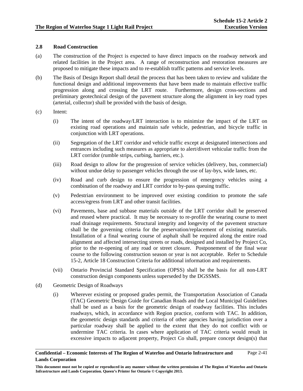## **2.8 Road Construction**

- (a) The construction of the Project is expected to have direct impacts on the roadway network and related facilities in the Project area. A range of reconstruction and restoration measures are proposed to mitigate these impacts and to re-establish traffic patterns and service levels.
- (b) The Basis of Design Report shall detail the process that has been taken to review and validate the functional design and additional improvements that have been made to maintain effective traffic progression along and crossing the LRT route. Furthermore, design cross-sections and preliminary geotechnical design of the pavement structure along the alignment in key road types (arterial, collector) shall be provided with the basis of design.
- (c) Intent:
	- (i) The intent of the roadway/LRT interaction is to minimize the impact of the LRT on existing road operations and maintain safe vehicle, pedestrian, and bicycle traffic in conjunction with LRT operations.
	- (ii) Segregation of the LRT corridor and vehicle traffic except at designated intersections and entrances including such measures as appropriate to alert/divert vehicular traffic from the LRT corridor (rumble strips, curbing, barriers, etc.).
	- (iii) Road design to allow for the progression of service vehicles (delivery, bus, commercial) without undue delay to passenger vehicles through the use of lay-bys, wide lanes, etc.
	- (iv) Road and curb design to ensure the progression of emergency vehicles using a combination of the roadway and LRT corridor to by-pass queuing traffic.
	- (v) Pedestrian environment to be improved over existing condition to promote the safe access/egress from LRT and other transit facilities.
	- (vi) Pavements, base and subbase materials outside of the LRT corridor shall be preserved and reused where practical. It may be necessary to re-profile the wearing course to meet road drainage requirements. Structural integrity and longevity of the pavement structure shall be the governing criteria for the preservation/replacement of existing materials. Installation of a final wearing course of asphalt shall be required along the entire road alignment and affected intersecting streets or roads, designed and installed by Project Co, prior to the re-opening of any road or street closure. Postponement of the final wear course to the following construction season or year is not acceptable. Refer to Schedule 15-2, Article 18 Construction Criteria for additional information and requirements.
	- (vii) Ontario Provincial Standard Specification (OPSS) shall be the basis for all non-LRT construction design components unless superseded by the DGSSMS.
- (d) Geometric Design of Roadways
	- (i) Wherever existing or proposed grades permit, the Transportation Association of Canada (TAC) Geometric Design Guide for Canadian Roads and the Local Municipal Guidelines shall be used as a basis for the geometric design of roadway facilities. This includes roadways, which, in accordance with Region practice, conform with TAC. In addition, the geometric design standards and criteria of other agencies having jurisdiction over a particular roadway shall be applied to the extent that they do not conflict with or undermine TAC criteria. In cases where application of TAC criteria would result in excessive impacts to adjacent property, Project Co shall, prepare concept design(s) that

**This document must not be copied or reproduced in any manner without the written permission of The Region of Waterloo and Ontario Infrastructure and Lands Corporation. Queen's Printer for Ontario © Copyright 2013.**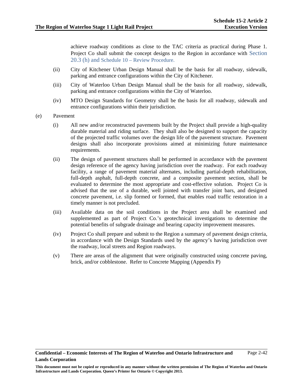achieve roadway conditions as close to the TAC criteria as practical during Phase 1. Project Co shall submit the concept designs to the Region in accordance with Section 20.3 (h) and Schedule 10 – Review Procedure.

- (ii) City of Kitchener Urban Design Manual shall be the basis for all roadway, sidewalk, parking and entrance configurations within the City of Kitchener.
- (iii) City of Waterloo Urban Design Manual shall be the basis for all roadway, sidewalk, parking and entrance configurations within the City of Waterloo.
- (iv) MTO Design Standards for Geometry shall be the basis for all roadway, sidewalk and entrance configurations within their jurisdiction.
- (e) Pavement
	- (i) All new and/or reconstructed pavements built by the Project shall provide a high-quality durable material and riding surface. They shall also be designed to support the capacity of the projected traffic volumes over the design life of the pavement structure. Pavement designs shall also incorporate provisions aimed at minimizing future maintenance requirements.
	- (ii) The design of pavement structures shall be performed in accordance with the pavement design reference of the agency having jurisdiction over the roadway. For each roadway facility, a range of pavement material alternates, including partial-depth rehabilitation, full-depth asphalt, full-depth concrete, and a composite pavement section, shall be evaluated to determine the most appropriate and cost-effective solution. Project Co is advised that the use of a durable, well jointed with transfer joint bars, and designed concrete pavement, i.e. slip formed or formed, that enables road traffic restoration in a timely manner is not precluded.
	- (iii) Available data on the soil conditions in the Project area shall be examined and supplemented as part of Project Co.'s geotechnical investigations to determine the potential benefits of subgrade drainage and bearing capacity improvement measures.
	- (iv) Project Co shall prepare and submit to the Region a summary of pavement design criteria, in accordance with the Design Standards used by the agency's having jurisdiction over the roadway, local streets and Region roadways.
	- (v) There are areas of the alignment that were originally constructed using concrete paving, brick, and/or cobblestone. Refer to Concrete Mapping (Appendix P)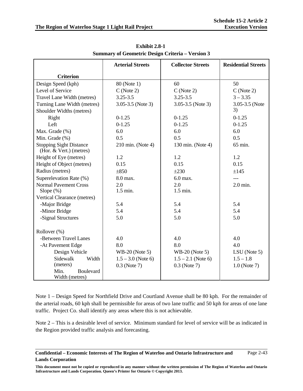|                                                           | <b>Arterial Streets</b> | <b>Collector Streets</b> | <b>Residential Streets</b> |
|-----------------------------------------------------------|-------------------------|--------------------------|----------------------------|
| <b>Criterion</b>                                          |                         |                          |                            |
| Design Speed (kph)                                        | 80 (Note 1)             | 60                       | 50                         |
| Level of Service                                          | C(Note 2)               | $C$ (Note 2)             | $C$ (Note 2)               |
| Travel Lane Width (metres)                                | $3.25 - 3.5$            | $3.25 - 3.5$             | $3 - 3.35$                 |
| Turning Lane Width (metres)                               | $3.05 - 3.5$ (Note 3)   | $3.05 - 3.5$ (Note 3)    | 3.05-3.5 (Note             |
| Shoulder Widths (metres)                                  |                         |                          | 3)                         |
| Right                                                     | $0 - 1.25$              | $0 - 1.25$               | $0 - 1.25$                 |
| Left                                                      | $0 - 1.25$              | $0-1.25$                 | $0 - 1.25$                 |
| Max. Grade (%)                                            | 6.0                     | 6.0                      | 6.0                        |
| Min. Grade (%)                                            | 0.5                     | 0.5                      | 0.5                        |
| <b>Stopping Sight Distance</b><br>(Hor. & Vert.) (metres) | 210 min. (Note 4)       | 130 min. (Note 4)        | 65 min.                    |
| Height of Eye (metres)                                    | 1.2                     | 1.2                      | 1.2                        |
| Height of Object (metres)                                 | 0.15                    | 0.15                     | 0.15                       |
| Radius (metres)                                           | $\pm 850$               | $\pm 230$                | ±145                       |
| Superelevation Rate (%)                                   | 8.0 max.                | 6.0 max.                 |                            |
| <b>Normal Pavement Cross</b>                              | 2.0                     | 2.0                      | $2.0$ min.                 |
| Slope $(\%)$                                              | 1.5 min.                | $1.5$ min.               |                            |
| Vertical Clearance (metres)                               |                         |                          |                            |
| -Major Bridge                                             | 5.4                     | 5.4                      | 5.4                        |
| -Minor Bridge                                             | 5.4                     | 5.4                      | 5.4                        |
| -Signal Structures                                        | 5.0                     | 5.0                      | 5.0                        |
| Rollover (%)                                              |                         |                          |                            |
| -Between Travel Lanes                                     | 4.0                     | 4.0                      | 4.0                        |
| -At Pavement Edge                                         | 8.0                     | 8.0                      | 4.0                        |
| Design Vehicle                                            | $WB-20$ (Note 5)        | $WB-20$ (Note 5)         | $LSU$ (Note 5)             |
| Sidewalk<br>Width                                         | $1.5 - 3.0$ (Note 6)    | $1.5 - 2.1$ (Note 6)     | $1.5 - 1.8$                |
| (meters)                                                  | $0.3$ (Note 7)          | $0.3$ (Note 7)           | $1.0$ (Note 7)             |
| Min.<br>Boulevard<br>Width (metres)                       |                         |                          |                            |

**Exhibit 2.8-1 Summary of Geometric Design Criteria – Version 3** 

Note 1 – Design Speed for Northfield Drive and Courtland Avenue shall be 80 kph. For the remainder of the arterial roads, 60 kph shall be permissible for areas of two lane traffic and 50 kph for areas of one lane traffic. Project Co. shall identify any areas where this is not achievable.

Note 2 – This is a desirable level of service. Minimum standard for level of service will be as indicated in the Region provided traffic analysis and forecasting.

**Confidential – Economic Interests of The Region of Waterloo and Ontario Infrastructure and Lands Corporation**  Page 2-43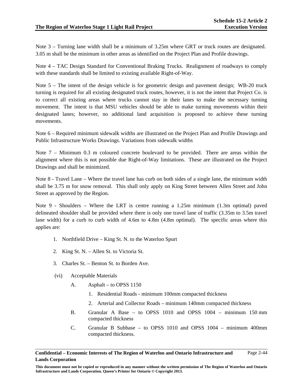Note 3 – Turning lane width shall be a minimum of 3.25m where GRT or truck routes are designated. 3.05 m shall be the minimum in other areas as identified on the Project Plan and Profile drawings.

Note 4 – TAC Design Standard for Conventional Braking Trucks. Realignment of roadways to comply with these standards shall be limited to existing available Right-of-Way.

Note 5 – The intent of the design vehicle is for geometric design and pavement design; WB-20 truck turning is required for all existing designated truck routes, however, it is not the intent that Project Co. is to correct all existing areas where trucks cannot stay in their lanes to make the necessary turning movement. The intent is that MSU vehicles should be able to make turning movements within their designated lanes; however, no additional land acquisition is proposed to achieve these turning movements.

Note 6 – Required minimum sidewalk widths are illustrated on the Project Plan and Profile Drawings and Public Infrastructure Works Drawings. Variations from sidewalk widths

Note 7 – Minimum 0.3 m coloured concrete boulevard to be provided. There are areas within the alignment where this is not possible due Right-of-Way limitations. These are illustrated on the Project Drawings and shall be minimized.

Note 8 - Travel Lane – Where the travel lane has curb on both sides of a single lane, the minimum width shall be 3.75 m for snow removal. This shall only apply on King Street between Allen Street and John Street as approved by the Region.

Note 9 - Shoulders – Where the LRT is centre running a 1.25m minimum (1.3m optimal) paved delineated shoulder shall be provided where there is only one travel lane of traffic (3.35m to 3.5m travel lane width) for a curb to curb width of 4.6m to 4.8m (4.8m optimal). The specific areas where this applies are:

- 1. Northfield Drive King St. N. to the Waterloo Spurt
- 2. King St. N. Allen St. to Victoria St.
- 3. Charles St. Benton St. to Borden Ave.
- (vi) Acceptable Materials
	- A. Asphalt to OPSS 1150
		- 1. Residential Roads minimum 100mm compacted thickness
		- 2. Arterial and Collector Roads minimum 140mm compacted thickness
	- B. Granular A Base to OPSS 1010 and OPSS 1004 minimum 150 mm compacted thickness
	- C. Granular B Subbase to OPSS 1010 and OPSS 1004 minimum 400mm compacted thickness.

**Confidential – Economic Interests of The Region of Waterloo and Ontario Infrastructure and Lands Corporation**  Page 2-44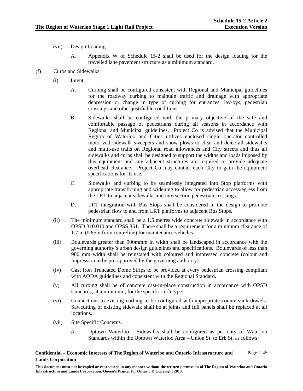- (vii) Design Loading
	- A. Appendix W of Schedule 15-2 shall be used for the design loading for the travelled lane pavement structure as a minimum standard.
- (f) Curbs and Sidewalks
	- (i) Intent
		- A. Curbing shall be configured consistent with Regional and Municipal guidelines for the roadway curbing to maintain traffic and drainage with appropriate depression or change in type of curbing for entrances, lay-bys, pedestrian crossings and other justifiable conditions.
		- B. Sidewalks shall be configured with the primary objective of the safe and comfortable passage of pedestrians during all seasons in accordance with Regional and Municipal guidelines. Project Co is advised that the Municipal Region of Waterloo and Cities utilizes enclosed single operator controlled motorized sidewalk sweepers and snow plows to clear and deice all sidewalks and multi-use trails on Regional road allowances and City streets and thus all sidewalks and curbs shall be designed to support the widths and loads imposed by this equipment and any adjacent structures are required to provide adequate overhead clearance. Project Co may contact each City to gain the equipment specifications for its use.
		- C. Sidewalks and curbing to be seamlessly integrated into Stop platforms with appropriate transitioning and widening to allow for pedestrian access/egress from the LRT to adjacent sidewalks and intersection pedestrian crossings.
		- D. LRT integration with Bus Stops shall be considered in the design to promote pedestrian flow to and from LRT platforms to adjacent Bus Stops.
	- (ii) The minimum standard shall be a 1.5 metres wide concrete sidewalk in accordance with OPSD 310.010 and OPSS 351. There shall be a requirement for a minimum clearance of 1.7 m (0.85m from centreline) for maintenance vehicles.
	- (iii) Boulevards greater than 900mmm in width shall be landscaped in accordance with the governing authority's urban design guidelines and specifications. Boulevards of less than 900 mm width shall be reinstated with coloured and impressed concrete (colour and impression to be pre-approved by the governing authority).
	- (iv) Cast Iron Truncated Dome Strips to be provided at every pedestrian crossing compliant with AODA guidelines and consistent with the Regional Standard.
	- (v) All curbing shall be of concrete cast-in-place construction in accordance with OPSD standards, at a minimum, for the specific curb type.
	- (vi) Connections to existing curbing to be configured with appropriate countersunk dowels. Sawcutting of existing sidewalk shall be at joints and full panels shall be replaced at all locations.
	- (vii) Site Specific Concerns
		- A. Uptown Waterloo Sidewalks shall be configured as per City of Waterloo Standards within the Uptown Waterloo Area – Union St. to Erb St. as follows: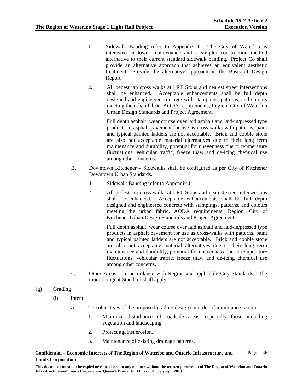- 1. Sidewalk Banding refer to Appendix J. The City of Waterloo is interested in lower maintenance and a simpler construction method alternative to their current standard sidewalk banding. Project Co shall provide an alternative approach that achieves an equivalent aesthetic treatment. Provide the alternative approach in the Basis of Design Report.
- 2. All pedestrian cross walks at LRT Stops and nearest street intersections shall be enhanced. Acceptable enhancements shall be full depth designed and engineered concrete with stampings, patterns, and colours meeting the urban fabric, AODA requirements, Region, City of Waterloo Urban Design Standards and Project Agreement.

Full depth asphalt, wear course over laid asphalt and laid-in/pressed type products in asphalt pavement for use as cross-walks with patterns, paint and typical painted ladders are not acceptable. Brick and cobble stone are also not acceptable material alternatives due to their long term maintenance and durability, potential for unevenness due to temperature fluctuations, vehicular traffic, freeze thaw and de-icing chemical use among other concerns.

- B. Downtown Kitchener Sidewalks shall be configured as per City of Kitchener Downtown Urban Standards.
	- 1. Sidewalk Banding refer to Appendix J.
	- 2. All pedestrian cross walks at LRT Stops and nearest street intersections shall be enhanced. Acceptable enhancements shall be full depth designed and engineered concrete with stampings, patterns, and colours meeting the urban fabric, AODA requirements, Region, City of Kitchener Urban Design Standards and Project Agreement.

Full depth asphalt, wear course over laid asphalt and laid-in/pressed type products in asphalt pavement for use as cross-walks with patterns, paint and typical painted ladders are not acceptable. Brick and cobble stone are also not acceptable material alternatives due to their long term maintenance and durability, potential for unevenness due to temperature fluctuations, vehicular traffic, freeze thaw and de-icing chemical use among other concerns.

C. Other Areas – In accordance with Region and applicable City Standards. The more stringent Standard shall apply.

# (g) Grading

- (i) Intent
	- A. The objectives of the proposed grading design (in order of importance) are to:
		- 1. Minimize disturbance of roadside areas, especially those including vegetation and landscaping.
		- 2. Protect against erosion.
		- 3. Maintenance of existing drainage patterns.

### **Confidential – Economic Interests of The Region of Waterloo and Ontario Infrastructure and Lands Corporation**  Page 2-46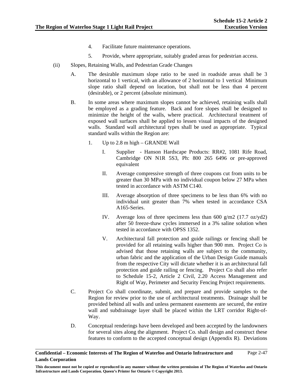- 4. Facilitate future maintenance operations.
- 5. Provide, where appropriate, suitably graded areas for pedestrian access.
- (ii) Slopes, Retaining Walls, and Pedestrian Grade Changes
	- A. The desirable maximum slope ratio to be used in roadside areas shall be 3 horizontal to 1 vertical, with an allowance of 2 horizontal to 1 vertical Minimum slope ratio shall depend on location, but shall not be less than 4 percent (desirable), or 2 percent (absolute minimum).
	- B. In some areas where maximum slopes cannot be achieved, retaining walls shall be employed as a grading feature. Back and fore slopes shall be designed to minimize the height of the walls, where practical. Architectural treatment of exposed wall surfaces shall be applied to lessen visual impacts of the designed walls. Standard wall architectural types shall be used as appropriate. Typical standard walls within the Region are:
		- 1. Up to 2.8 m high GRANDE Wall
			- I. Supplier Hanson Hardscape Products: RR#2, 1081 Rife Road, Cambridge ON N1R 5S3, Ph: 800 265 6496 or pre-approved equivalent
			- II. Average compressive strength of three coupons cut from units to be greater than 30 MPa with no individual coupon below 27 MPa when tested in accordance with ASTM C140.
			- III. Average absorption of three specimens to be less than 6% with no individual unit greater than 7% when tested in accordance CSA A165-Series.
			- IV. Average loss of three specimens less than  $600 \text{ g/m}$ 2 (17.7 oz/yd2) after 50 freeze-thaw cycles immersed in a 3% saline solution when tested in accordance with OPSS 1352.
			- V. Architectural fall protection and guide railings or fencing shall be provided for all retaining walls higher than 900 mm. Project Co is advised that those retaining walls are subject to the community, urban fabric and the application of the Urban Design Guide manuals from the respective City will dictate whether it is an architectural fall protection and guide railing or fencing. Project Co shall also refer to Schedule 15-2, Article 2 Civil, 2.20 Access Management and Right of Way, Perimeter and Security Fencing Project requirements.
	- C. Project Co shall coordinate, submit, and prepare and provide samples to the Region for review prior to the use of architectural treatments. Drainage shall be provided behind all walls and unless permanent easements are secured, the entire wall and subdrainage layer shall be placed within the LRT corridor Right-of-Way.
	- D. Conceptual renderings have been developed and been accepted by the landowners for several sites along the alignment. Project Co. shall design and construct these features to conform to the accepted conceptual design (Appendix R). Deviations

**Confidential – Economic Interests of The Region of Waterloo and Ontario Infrastructure and Lands Corporation**  Page 2-47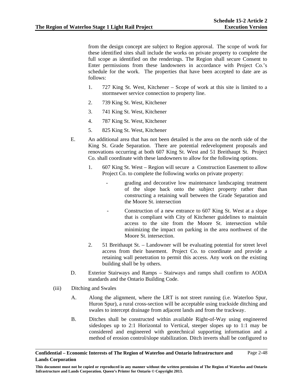from the design concept are subject to Region approval. The scope of work for these identified sites shall include the works on private property to complete the full scope as identified on the renderings. The Region shall secure Consent to Enter permissions from these landowners in accordance with Project Co.'s schedule for the work. The properties that have been accepted to date are as follows:

- 1. 727 King St. West, Kitchener Scope of work at this site is limited to a stormsewer service connection to property line.
- 2. 739 King St. West, Kitchener
- 3. 741 King St. West, Kitchener
- 4. 787 King St. West, Kitchener
- 5. 825 King St. West, Kitchener
- E. An additional area that has not been detailed is the area on the north side of the King St. Grade Separation. There are potential redevelopment proposals and renovations occurring at both 607 King St. West and 51 Breithaupt St. Project Co. shall coordinate with these landowners to allow for the following options.
	- 1. 607 King St. West Region will secure a Construction Easement to allow Project Co. to complete the following works on private property:
		- grading and decorative low maintenance landscaping treatment of the slope back onto the subject property rather than constructing a retaining wall between the Grade Separation and the Moore St. intersection
		- Construction of a new entrance to 607 King St. West at a slope that is compliant with City of Kitchener guidelines to maintain access to the site from the Moore St. intersection while minimizing the impact on parking in the area northwest of the Moore St. intersection.
	- 2. 51 Breithaupt St. Landowner will be evaluating potential for street level access from their basement. Project Co. to coordinate and provide a retaining wall penetration to permit this access. Any work on the existing building shall be by others.
- D. Exterior Stairways and Ramps Stairways and ramps shall confirm to AODA standards and the Ontario Building Code.
- (iii) Ditching and Swales
	- A. Along the alignment, where the LRT is not street running (i.e. Waterloo Spur, Huron Spur), a rural cross-section will be acceptable using trackside ditching and swales to intercept drainage from adjacent lands and from the trackway.
	- B. Ditches shall be constructed within available Right-of-Way using engineered sideslopes up to 2:1 Horizontal to Vertical, steeper slopes up to 1:1 may be considered and engineered with geotechnical supporting information and a method of erosion control/slope stabilization. Ditch inverts shall be configured to

**Confidential – Economic Interests of The Region of Waterloo and Ontario Infrastructure and Lands Corporation**  Page 2-48

**This document must not be copied or reproduced in any manner without the written permission of The Region of Waterloo and Ontario Infrastructure and Lands Corporation. Queen's Printer for Ontario © Copyright 2013.**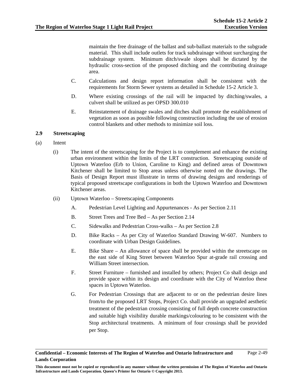maintain the free drainage of the ballast and sub-ballast materials to the subgrade material. This shall include outlets for track subdrainage without surcharging the subdrainage system. Minimum ditch/swale slopes shall be dictated by the hydraulic cross-section of the proposed ditching and the contributing drainage area.

- C. Calculations and design report information shall be consistent with the requirements for Storm Sewer systems as detailed in Schedule 15-2 Article 3.
- D. Where existing crossings of the rail will be impacted by ditching/swales, a culvert shall be utilized as per OPSD 300.010
- E. Reinstatement of drainage swales and ditches shall promote the establishment of vegetation as soon as possible following construction including the use of erosion control blankets and other methods to minimize soil loss.

### **2.9 Streetscaping**

- (a) Intent
	- (i) The intent of the streetscaping for the Project is to complement and enhance the existing urban environment within the limits of the LRT construction. Streetscaping outside of Uptown Waterloo (Erb to Union, Caroline to King) and defined areas of Downtown Kitchener shall be limited to Stop areas unless otherwise noted on the drawings. The Basis of Design Report must illustrate in terms of drawing designs and renderings of typical proposed streetscape configurations in both the Uptown Waterloo and Downtown Kitchener areas.
	- (ii) Uptown Waterloo Streetscaping Components
		- A. Pedestrian Level Lighting and Appurtenances As per Section 2.11
		- B. Street Trees and Tree Bed As per Section 2.14
		- C. Sidewalks and Pedestrian Cross-walks As per Section 2.8
		- D. Bike Racks As per City of Waterloo Standard Drawing W-607. Numbers to coordinate with Urban Design Guidelines.
		- E. Bike Share An allowance of space shall be provided within the streetscape on the east side of King Street between Waterloo Spur at-grade rail crossing and William Street intersection.
		- F. Street Furniture furnished and installed by others; Project Co shall design and provide space within its design and coordinate with the City of Waterloo these spaces in Uptown Waterloo.
		- G. For Pedestrian Crossings that are adjacent to or on the pedestrian desire lines from/to the proposed LRT Stops, Project Co. shall provide an upgraded aesthetic treatment of the pedestrian crossing consisting of full depth concrete construction and suitable high visibility durable markings/colouring to be consistent with the Stop architectural treatments. A minimum of four crossings shall be provided per Stop.

**Confidential – Economic Interests of The Region of Waterloo and Ontario Infrastructure and Lands Corporation**  Page 2-49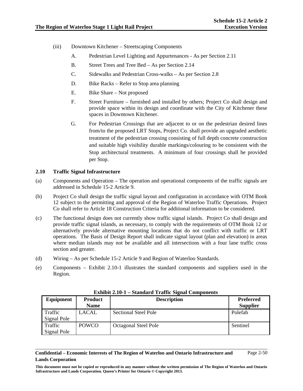- (iii) Downtown Kitchener Streetscaping Components
	- A. Pedestrian Level Lighting and Appurtenances As per Section 2.11
	- B. Street Trees and Tree Bed As per Section 2.14
	- C. Sidewalks and Pedestrian Cross-walks As per Section 2.8
	- D. Bike Racks Refer to Stop area planning
	- E. Bike Share Not proposed
	- F. Street Furniture furnished and installed by others; Project Co shall design and provide space within its design and coordinate with the City of Kitchener these spaces in Downtown Kitchener.
	- G. For Pedestrian Crossings that are adjacent to or on the pedestrian desired lines from/to the proposed LRT Stops, Project Co. shall provide an upgraded aesthetic treatment of the pedestrian crossing consisting of full depth concrete construction and suitable high visibility durable markings/colouring to be consistent with the Stop architectural treatments. A minimum of four crossings shall be provided per Stop.

## **2.10 Traffic Signal Infrastructure**

- (a) Components and Operation The operation and operational components of the traffic signals are addressed in Schedule 15-2 Article 9.
- (b) Project Co shall design the traffic signal layout and configuration in accordance with OTM Book 12 subject to the permitting and approval of the Region of Waterloo Traffic Operations. Project Co shall refer to Article 18 Construction Criteria for additional information to be considered.
- (c) The functional design does not currently show traffic signal islands. Project Co shall design and provide traffic signal islands, as necessary, to comply with the requirements of OTM Book 12 or alternatively provide alternative mounting locations that do not conflict with traffic or LRT operations. The Basis of Design Report shall indicate signal layout (plan and elevation) in areas where median islands may not be available and all intersections with a four lane traffic cross section and greater.
- (d) Wiring As per Schedule 15-2 Article 9 and Region of Waterloo Standards.
- (e) Components Exhibit 2.10-1 illustrates the standard components and suppliers used in the Region.

| Equipment   | <b>Product</b> | <b>Description</b>          | <b>Preferred</b> |
|-------------|----------------|-----------------------------|------------------|
|             | <b>Name</b>    |                             | <b>Supplier</b>  |
| Traffic     | LACAL          | <b>Sectional Steel Pole</b> | Polefab          |
| Signal Pole |                |                             |                  |
| Traffic     | <b>POWCO</b>   | <b>Octagonal Steel Pole</b> | Sentinel         |
| Signal Pole |                |                             |                  |

**Exhibit 2.10-1 – Standard Traffic Signal Components** 

**Confidential – Economic Interests of The Region of Waterloo and Ontario Infrastructure and Lands Corporation**  Page 2-50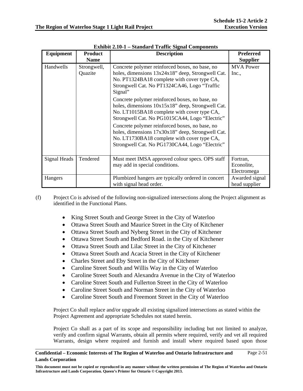| Equipment    | <b>Product</b><br><b>Name</b> | <b>Description</b>                                                                                                                                                                                                                                                                                                                                                                                                                                                                                                                                                                                                            | <b>Preferred</b><br><b>Supplier</b>   |
|--------------|-------------------------------|-------------------------------------------------------------------------------------------------------------------------------------------------------------------------------------------------------------------------------------------------------------------------------------------------------------------------------------------------------------------------------------------------------------------------------------------------------------------------------------------------------------------------------------------------------------------------------------------------------------------------------|---------------------------------------|
| Handwells    | Strongwell,<br>Quazite        | Concrete polymer reinforced boxes, no base, no<br>holes, dimensions 13x24x18" deep, Strongwell Cat.<br>No. PT1324BA18 complete with cover type CA,<br>Strongwell Cat. No PT1324CA46, Logo "Traffic<br>Signal"<br>Concrete polymer reinforced boxes, no base, no<br>holes, dimensions 10x15x18" deep, Strongwell Cat.<br>No. LT1015BA18 complete with cover type CA,<br>Strongwell Cat. No PG1015CA44, Logo "Electric"<br>Concrete polymer reinforced boxes, no base, no<br>holes, dimensions 17x30x18" deep, Strongwell Cat.<br>No. LT1730BA18 complete with cover type CA,<br>Strongwell Cat. No PG1730CA44, Logo "Electric" | <b>MVA</b> Power<br>Inc.,             |
| Signal Heads | Tendered                      | Must meet IMSA approved colour specs. OPS staff<br>may add in special conditions.                                                                                                                                                                                                                                                                                                                                                                                                                                                                                                                                             | Fortran,<br>Econolite,<br>Electromega |
| Hangers      |                               | Plumbized hangers are typically ordered in concert<br>with signal head order.                                                                                                                                                                                                                                                                                                                                                                                                                                                                                                                                                 | Awarded signal<br>head supplier       |

**Exhibit 2.10-1 – Standard Traffic Signal Components** 

- (f) Project Co is advised of the following non-signalized intersections along the Project alignment as identified in the Functional Plans.
	- King Street South and George Street in the City of Waterloo
	- Ottawa Street South and Maurice Street in the City of Kitchener
	- Ottawa Street South and Nyberg Street in the City of Kitchener
	- Ottawa Street South and Bedford Road. in the City of Kitchener
	- Ottawa Street South and Lilac Street in the City of Kitchener
	- Ottawa Street South and Acacia Street in the City of Kitchener
	- Charles Street and Eby Street in the City of Kitchener
	- Caroline Street South and Willis Way in the City of Waterloo
	- Caroline Street South and Alexandra Avenue in the City of Waterloo
	- Caroline Street South and Fullerton Street in the City of Waterloo
	- Caroline Street South and Norman Street in the City of Waterloo
	- Caroline Street South and Freemont Street in the City of Waterloo

Project Co shall replace and/or upgrade all existing signalized intersections as stated within the Project Agreement and appropriate Schedules not stated herein.

Project Co shall as a part of its scope and responsibility including but not limited to analyze, verify and confirm signal Warrants, obtain all permits where required, verify and vet all required Warrants, design where required and furnish and install where required based upon those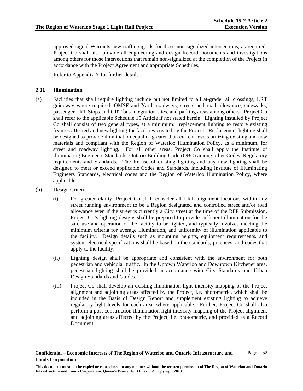approved signal Warrants new traffic signals for these non-signalized intersections, as required. Project Co shall also provide all engineering and design Record Documents and investigations among others for those intersections that remain non-signalized at the completion of the Project in accordance with the Project Agreement and appropriate Schedules.

Refer to Appendix Y for further details.

## **2.11 Illumination**

- (a) Facilities that shall require lighting include but not limited to all at-grade rail crossings, LRT guideway where required, OMSF and Yard, roadways, streets and road allowance, sidewalks, passenger LRT Stops and GRT bus integration sites, and parking areas among others. Project Co shall refer to the applicable Schedule 15 Article if not stated herein. Lighting installed by Project Co shall consist of two general types, at a minimum: replacement lighting to restore existing fixtures affected and new lighting for facilities created by the Project. Replacement lighting shall be designed to provide illumination equal or greater than current levels utilizing existing and new materials and compliant with the Region of Waterloo Illumination Policy, as a minimum, for street and roadway lighting. For all other areas, Project Co shall apply the Institute of Illuminating Engineers Standards, Ontario Building Code (OBC) among other Codes, Regulatory requirements and Standards. The Re-use of existing lighting and any new lighting shall be designed to meet or exceed applicable Codes and Standards, including Institute of Illuminating Engineers Standards, electrical codes and the Region of Waterloo Illumination Policy, where applicable.
- (b) Design Criteria
	- (i) For greater clarity, Project Co shall consider all LRT alignment locations within any street running environment to be a Region designated and controlled street and/or road allowance even if the street is currently a City street at the time of the RFP Submission. Project Co's lighting designs shall be prepared to provide sufficient illumination for the safe use and operation of the facility to be lighted, and typically involves meeting the minimum criteria for average illumination, and uniformity of illumination applicable to the facility. Design details such as mounting heights, equipment requirements, and system electrical specifications shall be based on the standards, practices, and codes that apply to the facility.
	- (ii) Lighting design shall be appropriate and consistent with the environment for both pedestrian and vehicular traffic. In the Uptown Waterloo and Downtown Kitchener area, pedestrian lighting shall be provided in accordance with City Standards and Urban Design Standards and Guides.
	- (iii) Project Co shall develop an existing illumination light intensity mapping of the Project alignment and adjoining areas affected by the Project, i.e. photometric, which shall be included in the Basis of Design Report and supplement existing lighting to achieve regulatory light levels for each area, where applicable. Further, Project Co shall also perform a post construction illumination light intensity mapping of the Project alignment and adjoining areas affected by the Project, i.e. photometric, and provided as a Record Document.

**Confidential – Economic Interests of The Region of Waterloo and Ontario Infrastructure and Lands Corporation**  Page 2-52

**This document must not be copied or reproduced in any manner without the written permission of The Region of Waterloo and Ontario Infrastructure and Lands Corporation. Queen's Printer for Ontario © Copyright 2013.**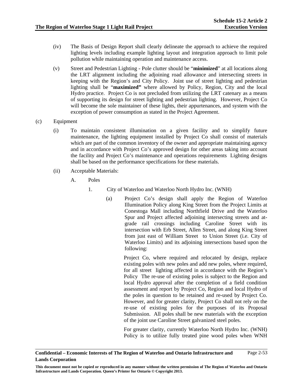- (iv) The Basis of Design Report shall clearly delineate the approach to achieve the required lighting levels including example lighting layout and integration approach to limit pole pollution while maintaining operation and maintenance access.
- (v) Street and Pedestrian Lighting Pole clutter should be "**minimized**" at all locations along the LRT alignment including the adjoining road allowance and intersecting streets in keeping with the Region's and City Policy. Joint use of street lighting and pedestrian lighting shall be "**maximized"** where allowed by Policy, Region, City and the local Hydro practice. Project Co is not precluded from utilizing the LRT catenary as a means of supporting its design for street lighting and pedestrian lighting. However, Project Co will become the sole maintainer of these lights, their appurtenances, and system with the exception of power consumption as stated in the Project Agreement.
- (c) Equipment
	- (i) To maintain consistent illumination on a given facility and to simplify future maintenance, the lighting equipment installed by Project Co shall consist of materials which are part of the common inventory of the owner and appropriate maintaining agency and in accordance with Project Co's approved design for other areas taking into account the facility and Project Co's maintenance and operations requirements Lighting designs shall be based on the performance specifications for these materials.
	- (ii) Acceptable Materials:
		- A. Poles
			- 1. City of Waterloo and Waterloo North Hydro Inc. (WNH)
				- (a) Project Co's design shall apply the Region of Waterloo Illumination Policy along King Street from the Project Limits at Conestoga Mall including Northfield Drive and the Waterloo Spur and Project affected adjoining intersecting streets and atgrade rail crossings including Caroline Street with its intersection with Erb Street, Allen Street, and along King Street from just east of William Street to Union Street (i.e. City of Waterloo Limits) and its adjoining intersections based upon the following:

Project Co, where required and relocated by design, replace existing poles with new poles and add new poles, where required, for all street lighting affected in accordance with the Region's Policy The re-use of existing poles is subject to the Region and local Hydro approval after the completion of a field condition assessment and report by Project Co, Region and local Hydro of the poles in question to be retained and re-used by Project Co. However, and for greater clarity, Project Co shall not rely on the re-use of existing poles for the purposes of its Proposal Submission. All poles shall be new materials with the exception of the joint use Caroline Street galvanized steel poles.

For greater clarity, currently Waterloo North Hydro Inc. (WNH) Policy is to utilize fully treated pine wood poles when WNH

**This document must not be copied or reproduced in any manner without the written permission of The Region of Waterloo and Ontario Infrastructure and Lands Corporation. Queen's Printer for Ontario © Copyright 2013.**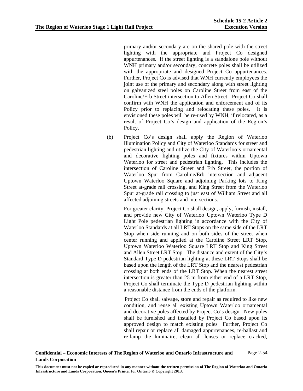primary and/or secondary are on the shared pole with the street lighting with the appropriate and Project Co designed appurtenances. If the street lighting is a standalone pole without WNH primary and/or secondary, concrete poles shall be utilized with the appropriate and designed Project Co appurtenances. Further, Project Co is advised that WNH currently employees the joint use of the primary and secondary along with street lighting on galvanized steel poles on Caroline Street from east of the Caroline/Erb Street intersection to Allen Street. Project Co shall confirm with WNH the application and enforcement and of its Policy prior to replacing and relocating these poles. It is envisioned these poles will be re-used by WNH, if relocated, as a result of Project Co's design and application of the Region's Policy.

(b) Project Co's design shall apply the Region of Waterloo Illumination Policy and City of Waterloo Standards for street and pedestrian lighting and utilize the City of Waterloo's ornamental and decorative lighting poles and fixtures within Uptown Waterloo for street and pedestrian lighting. This includes the intersection of Caroline Street and Erb Street, the portion of Waterloo Spur from Caroline/Erb intersection and adjacent Uptown Waterloo Square and adjoining Parking lots to King Street at-grade rail crossing, and King Street from the Waterloo Spur at-grade rail crossing to just east of William Street and all affected adjoining streets and intersections.

> For greater clarity, Project Co shall design, apply, furnish, install, and provide new City of Waterloo Uptown Waterloo Type D Light Pole pedestrian lighting in accordance with the City of Waterloo Standards at all LRT Stops on the same side of the LRT Stop when side running and on both sides of the street when center running and applied at the Caroline Street LRT Stop, Uptown Waterloo Waterloo Square LRT Stop and King Street and Allen Street LRT Stop. The distance and extent of the City's Standard Type D pedestrian lighting at these LRT Stops shall be based upon the length of the LRT Stop and the nearest pedestrian crossing at both ends of the LRT Stop. When the nearest street intersection is greater than 25 m from either end of a LRT Stop, Project Co shall terminate the Type D pedestrian lighting within a reasonable distance from the ends of the platform.

> Project Co shall salvage, store and repair as required to like new condition, and reuse all existing Uptown Waterloo ornamental and decorative poles affected by Project Co's design. New poles shall be furnished and installed by Project Co based upon its approved design to match existing poles Further, Project Co shall repair or replace all damaged appurtenances, re-ballast and re-lamp the luminaire, clean all lenses or replace cracked,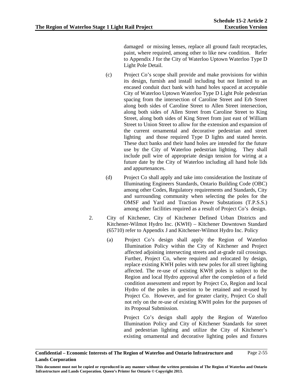damaged or missing lenses, replace all ground fault receptacles, paint, where required, among other to like new condition. Refer to Appendix J for the City of Waterloo Uptown Waterloo Type D Light Pole Detail.

- (c) Project Co's scope shall provide and make provisions for within its design, furnish and install including but not limited to an encased conduit duct bank with hand holes spaced at acceptable City of Waterloo Uptown Waterloo Type D Light Pole pedestrian spacing from the intersection of Caroline Street and Erb Street along both sides of Caroline Street to Allen Street intersection, along both sides of Allen Street from Caroline Street to King Street, along both sides of King Street from just east of William Street to Union Street to allow for the extension and expansion of the current ornamental and decorative pedestrian and street lighting and those required Type D lights and stated herein. These duct banks and their hand holes are intended for the future use by the City of Waterloo pedestrian lighting. They shall include pull wire of appropriate design tension for wiring at a future date by the City of Waterloo including all hand hole lids and appurtenances.
- (d) Project Co shall apply and take into consideration the Institute of Illuminating Engineers Standards, Ontario Building Code (OBC) among other Codes, Regulatory requirements and Standards, City and surrounding community when selecting the poles for the OMSF and Yard and Traction Power Substations (T.P.S.S.) among other facilities required as a result of Project Co's design.
- 2. City of Kitchener, City of Kitchener Defined Urban Districts and Kitchener-Wilmot Hydro Inc. (KWH) – Kitchener Downtown Standard (65710) refer to Appendix J and Kitchener-Wilmot Hydro Inc. Policy
	- (a) Project Co's design shall apply the Region of Waterloo Illumination Policy within the City of Kitchener and Project affected adjoining intersecting streets and at-grade rail crossings. Further, Project Co, where required and relocated by design, replace existing KWH poles with new poles for all street lighting affected. The re-use of existing KWH poles is subject to the Region and local Hydro approval after the completion of a field condition assessment and report by Project Co, Region and local Hydro of the poles in question to be retained and re-used by Project Co. However, and for greater clarity, Project Co shall not rely on the re-use of existing KWH poles for the purposes of its Proposal Submission.

 Project Co's design shall apply the Region of Waterloo Illumination Policy and City of Kitchener Standards for street and pedestrian lighting and utilize the City of Kitchener's existing ornamental and decorative lighting poles and fixtures

**Confidential – Economic Interests of The Region of Waterloo and Ontario Infrastructure and Lands Corporation**  Page 2-55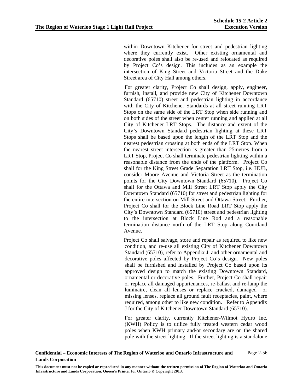within Downtown Kitchener for street and pedestrian lighting where they currently exist. Other existing ornamental and decorative poles shall also be re-used and relocated as required by Project Co's design. This includes as an example the intersection of King Street and Victoria Street and the Duke Street area of City Hall among others.

 For greater clarity, Project Co shall design, apply, engineer, furnish, install, and provide new City of Kitchener Downtown Standard (65710) street and pedestrian lighting in accordance with the City of Kitchener Standards at all street running LRT Stops on the same side of the LRT Stop when side running and on both sides of the street when center running and applied at all City of Kitchener LRT Stops. The distance and extent of the City's Downtown Standard pedestrian lighting at these LRT Stops shall be based upon the length of the LRT Stop and the nearest pedestrian crossing at both ends of the LRT Stop. When the nearest street intersection is greater than 25metres from a LRT Stop, Project Co shall terminate pedestrian lighting within a reasonable distance from the ends of the platform. Project Co shall for the King Street Grade Separation LRT Stop, i.e. HUB, consider Moore Avenue and Victoria Street as the termination points for the City Downtown Standard (65710). Project Co shall for the Ottawa and Mill Street LRT Stop apply the City Downtown Standard (65710) for street and pedestrian lighting for the entire intersection on Mill Street and Ottawa Street. Further, Project Co shall for the Block Line Road LRT Stop apply the City's Downtown Standard (65710) street and pedestrian lighting to the intersection at Block Line Rod and a reasonable termination distance north of the LRT Stop along Courtland Avenue.

Project Co shall salvage, store and repair as required to like new condition, and re-use all existing City of Kitchener Downtown Standard (65710), refer to Appendix J, and other ornamental and decorative poles affected by Project Co's design. New poles shall be furnished and installed by Project Co based upon its approved design to match the existing Downtown Standard, ornamental or decorative poles. Further, Project Co shall repair or replace all damaged appurtenances, re-ballast and re-lamp the luminaire, clean all lenses or replace cracked, damaged or missing lenses, replace all ground fault receptacles, paint, where required, among other to like new condition. Refer to Appendix J for the City of Kitchener Downtown Standard (65710).

For greater clarity, currently Kitchener-Wilmot Hydro Inc. (KWH) Policy is to utilize fully treated western cedar wood poles when KWH primary and/or secondary are on the shared pole with the street lighting. If the street lighting is a standalone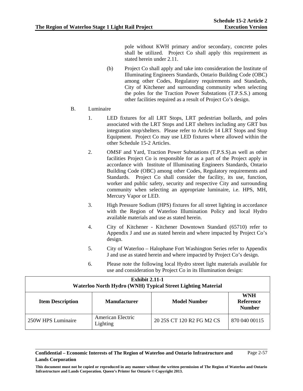pole without KWH primary and/or secondary, concrete poles shall be utilized. Project Co shall apply this requirement as stated herein under 2.11.

- (b) Project Co shall apply and take into consideration the Institute of Illuminating Engineers Standards, Ontario Building Code (OBC) among other Codes, Regulatory requirements and Standards, City of Kitchener and surrounding community when selecting the poles for the Traction Power Substations (T.P.S.S.) among other facilities required as a result of Project Co's design.
- B. Luminaire
	- 1. LED fixtures for all LRT Stops, LRT pedestrian bollards, and poles associated with the LRT Stops and LRT shelters including any GRT bus integration stop/shelters. Please refer to Article 14 LRT Stops and Stop Equipment. Project Co may use LED fixtures where allowed within the other Schedule 15-2 Articles.
	- 2. OMSF and Yard, Traction Power Substations (T.P.S.S).as well as other facilities Project Co is responsible for as a part of the Project apply in accordance with Institute of Illuminating Engineers Standards, Ontario Building Code (OBC) among other Codes, Regulatory requirements and Standards. Project Co shall consider the facility, its use, function, worker and public safety, security and respective City and surrounding community when selecting an appropriate luminaire, i.e. HPS, MH, Mercury Vapor or LED.
	- 3. High Pressure Sodium (HPS) fixtures for all street lighting in accordance with the Region of Waterloo Illumination Policy and local Hydro available materials and use as stated herein.
	- 4. City of Kitchener Kitchener Downtown Standard (65710) refer to Appendix J and use as stated herein and where impacted by Project Co's design.
	- 5. City of Waterloo Halophane Fort Washington Series refer to Appendix J and use as stated herein and where impacted by Project Co's design.
	- 6. Please note the following local Hydro street light materials available for use and consideration by Project Co in its Illumination design:

| <b>Exhibit 2.11-1</b><br><b>Waterloo North Hydro (WNH) Typical Street Lighting Material</b>                              |                               |                           |               |  |
|--------------------------------------------------------------------------------------------------------------------------|-------------------------------|---------------------------|---------------|--|
| <b>WNH</b><br><b>Model Number</b><br><b>Reference</b><br><b>Item Description</b><br><b>Manufacturer</b><br><b>Number</b> |                               |                           |               |  |
| 250W HPS Luminaire                                                                                                       | American Electric<br>Lighting | 20 25 SCT 120 R2 FG M2 CS | 870 040 00115 |  |

### **Confidential – Economic Interests of The Region of Waterloo and Ontario Infrastructure and Lands Corporation**  Page 2-57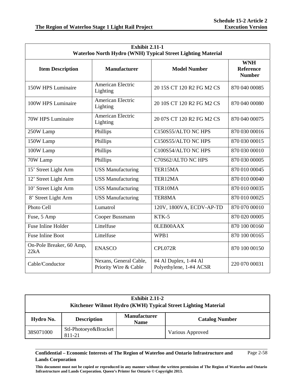| <b>Exhibit 2.11-1</b><br>Waterloo North Hydro (WNH) Typical Street Lighting Material |                                                 |                                                  |                                                 |  |
|--------------------------------------------------------------------------------------|-------------------------------------------------|--------------------------------------------------|-------------------------------------------------|--|
| <b>Item Description</b>                                                              | <b>Manufacturer</b>                             | <b>Model Number</b>                              | <b>WNH</b><br><b>Reference</b><br><b>Number</b> |  |
| 150W HPS Luminaire                                                                   | American Electric<br>Lighting                   | 20 15S CT 120 R2 FG M2 CS                        | 870 040 00085                                   |  |
| 100W HPS Luminaire                                                                   | American Electric<br>Lighting                   | 20 10S CT 120 R2 FG M2 CS                        | 870 040 00080                                   |  |
| 70W HPS Luminaire                                                                    | American Electric<br>Lighting                   | 20 07S CT 120 R2 FG M2 CS                        | 870 040 00075                                   |  |
| 250W Lamp                                                                            | Phillips                                        | C150S55/ALTO NC HPS                              | 870 030 00016                                   |  |
| 150W Lamp                                                                            | Phillips                                        | C150S55/ALTO NC HPS                              | 870 030 00015                                   |  |
| 100W Lamp                                                                            | Phillips                                        | C100S54/ALTO NC HPS                              | 870 030 00010                                   |  |
| 70W Lamp                                                                             | Phillips                                        | C70S62/ALTO NC HPS                               | 870 030 00005                                   |  |
| 15' Street Light Arm                                                                 | <b>USS Manufacturing</b>                        | TER15MA                                          | 870 010 00045                                   |  |
| 12' Street Light Arm                                                                 | <b>USS Manufacturing</b>                        | TER12MA                                          | 870 010 00040                                   |  |
| 10' Street Light Arm                                                                 | <b>USS Manufacturing</b>                        | TER10MA                                          | 870 010 00035                                   |  |
| 8' Street Light Arm                                                                  | <b>USS Manufacturing</b>                        | TER8MA                                           | 870 010 00025                                   |  |
| Photo Cell                                                                           | Lumatrol                                        | 120V, 1800VA, ECDV-AP-TD                         | 870 070 00010                                   |  |
| Fuse, 5 Amp                                                                          | Cooper Bussmann                                 | KTK-5                                            | 870 020 00005                                   |  |
| <b>Fuse Inline Holder</b>                                                            | Littelfuse                                      | 0LEB00AAX                                        | 870 100 00160                                   |  |
| <b>Fuse Inline Boot</b>                                                              | Littelfuse                                      | WPB1                                             | 870 100 00165                                   |  |
| On-Pole Breaker, 60 Amp,<br>22kA                                                     | <b>ENASCO</b>                                   | CPL072R                                          | 870 100 00150                                   |  |
| Cable/Conductor                                                                      | Nexans, General Cable,<br>Priority Wire & Cable | #4 Al Duplex, 1-#4 Al<br>Polyethylene, 1-#4 ACSR | 220 070 00031                                   |  |

| <b>Exhibit 2.11-2</b><br>Kitchener Wilmot Hydro (KWH) Typical Street Lighting Material |                                |                                    |                       |  |  |  |
|----------------------------------------------------------------------------------------|--------------------------------|------------------------------------|-----------------------|--|--|--|
| Hydro No.                                                                              | <b>Description</b>             | <b>Manufacturer</b><br><b>Name</b> | <b>Catalog Number</b> |  |  |  |
| 38S071000                                                                              | Stl-Photoeye&Bracket<br>811-21 |                                    | Various Approved      |  |  |  |

### **Confidential – Economic Interests of The Region of Waterloo and Ontario Infrastructure and Lands Corporation**  Page 2-58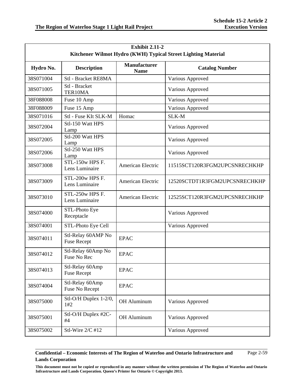| <b>Exhibit 2.11-2</b><br>Kitchener Wilmot Hydro (KWH) Typical Street Lighting Material |                                          |                                    |                               |  |  |
|----------------------------------------------------------------------------------------|------------------------------------------|------------------------------------|-------------------------------|--|--|
| Hydro No.                                                                              | <b>Description</b>                       | <b>Manufacturer</b><br><b>Name</b> | <b>Catalog Number</b>         |  |  |
| 38S071004                                                                              | <b>Stl</b> - Bracket RE8MA               |                                    | Various Approved              |  |  |
| 38S071005                                                                              | Stl - Bracket<br>TER10MA                 |                                    | Various Approved              |  |  |
| 38F088008                                                                              | Fuse 10 Amp                              |                                    | Various Approved              |  |  |
| 38F088009                                                                              | Fuse 15 Amp                              |                                    | Various Approved              |  |  |
| 38S071016                                                                              | Stl - Fuse KIt SLK-M                     | Homac                              | SLK-M                         |  |  |
| 38S072004                                                                              | Stl-150 Watt HPS<br>Lamp                 |                                    | Various Approved              |  |  |
| 38S072005                                                                              | Stl-200 Watt HPS<br>Lamp                 |                                    | Various Approved              |  |  |
| 38S072006                                                                              | Stl-250 Watt HPS<br>Lamp                 |                                    | Various Approved              |  |  |
| 38S073008                                                                              | STL-150w HPS F.<br>Lens Luminaire        | <b>American Electric</b>           | 11515SCT120R3FGM2UPCSNRECHKHP |  |  |
| 38S073009                                                                              | STL-200w HPS F.<br>Lens Luminaire        | <b>American Electric</b>           | 12520SCTDT1R3FGM2UPCSNRECHKHP |  |  |
| 38S073010                                                                              | STL-250w HPS F.<br>Lens Luminaire        | American Electric                  | 12525SCT120R3FGM2UPCSNRECHKHP |  |  |
| 38S074000                                                                              | STL-Photo Eye<br>Receptacle              |                                    | Various Approved              |  |  |
| 38S074001                                                                              | STL-Photo Eye Cell                       |                                    | Various Approved              |  |  |
| 38S074011                                                                              | Stl-Relay 60AMP No<br><b>Fuse Recept</b> | <b>EPAC</b>                        |                               |  |  |
| 38S074012                                                                              | Stl-Relay 60Amp No<br>Fuse No Rec        | <b>EPAC</b>                        |                               |  |  |
| 38S074013                                                                              | Stl-Relay 60Amp<br><b>Fuse Recept</b>    | <b>EPAC</b>                        |                               |  |  |
| 38S074004                                                                              | Stl-Relay 60Amp<br>Fuse No Recept        | <b>EPAC</b>                        |                               |  |  |
| 38S075000                                                                              | Stl-O/H Duplex 1-2/0,<br>1#2             | OH Aluminum                        | Various Approved              |  |  |
| 38S075001                                                                              | Stl-O/H Duplex #2C-<br>#4                | OH Aluminum                        | Various Approved              |  |  |
| 38S075002                                                                              | Stl-Wire 2/C #12                         |                                    | Various Approved              |  |  |

### **Confidential – Economic Interests of The Region of Waterloo and Ontario Infrastructure and Lands Corporation**  Page 2-59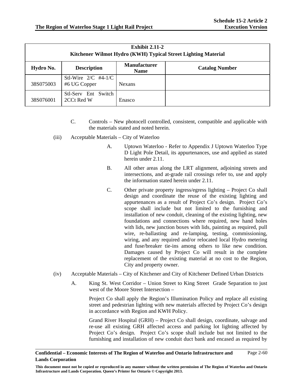| Exhibit $2.11-2$<br>Kitchener Wilmot Hydro (KWH) Typical Street Lighting Material |                                       |                                    |                       |  |  |  |
|-----------------------------------------------------------------------------------|---------------------------------------|------------------------------------|-----------------------|--|--|--|
| Hydro No.                                                                         | <b>Description</b>                    | <b>Manufacturer</b><br><b>Name</b> | <b>Catalog Number</b> |  |  |  |
| 38S075003                                                                         | Stl-Wire $2/C$ #4-1/C<br>#6 UG Copper | <b>Nexans</b>                      |                       |  |  |  |
| 38S076001                                                                         | Stl-Serv Ent Switch<br>2CCt Red W     | Enasco                             |                       |  |  |  |

- C. Controls New photocell controlled, consistent, compatible and applicable with the materials stated and noted herein.
- (iii) Acceptable Materials City of Waterloo
	- A. Uptown Waterloo Refer to Appendix J Uptown Waterloo Type D Light Pole Detail, its appurtenances, use and applied as stated herein under 2.11.
	- B. All other areas along the LRT alignment, adjoining streets and intersections, and at-grade rail crossings refer to, use and apply the information stated herein under 2.11.
	- C. Other private property ingress/egress lighting Project Co shall design and coordinate the reuse of the existing lighting and appurtenances as a result of Project Co's design. Project Co's scope shall include but not limited to the furnishing and installation of new conduit, cleaning of the existing lighting, new foundations and connections where required, new hand holes with lids, new junction boxes with lids, painting as required, pull wire, re-ballasting and re-lamping, testing, commissioning, wiring, and any required and/or relocated local Hydro metering and fuse/breaker tie-ins among others to like new condition. Damages caused by Project Co will result in the complete replacement of the existing material at no cost to the Region, City and property owner.
- (iv) Acceptable Materials City of Kitchener and City of Kitchener Defined Urban Districts
	- A. King St. West Corridor Union Street to King Street Grade Separation to just west of the Moore Street Intersection –

Project Co shall apply the Region's Illumination Policy and replace all existing street and pedestrian lighting with new materials affected by Project Co's design in accordance with Region and KWH Policy.

Grand River Hospital (GRH) – Project Co shall design, coordinate, salvage and re-use all existing GRH affected access and parking lot lighting affected by Project Co's design. Project Co's scope shall include but not limited to the furnishing and installation of new conduit duct bank and encased as required by

**This document must not be copied or reproduced in any manner without the written permission of The Region of Waterloo and Ontario Infrastructure and Lands Corporation. Queen's Printer for Ontario © Copyright 2013.**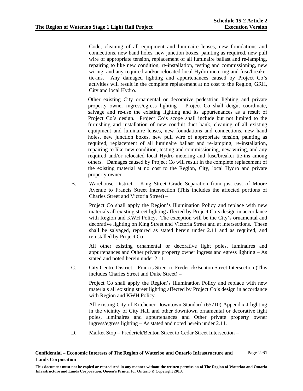Code, cleaning of all equipment and luminaire lenses, new foundations and connections, new hand holes, new junction boxes, painting as required, new pull wire of appropriate tension, replacement of all luminaire ballast and re-lamping, repairing to like new condition, re-installation, testing and commissioning, new wiring, and any required and/or relocated local Hydro metering and fuse/breaker tie-ins. Any damaged lighting and appurtenances caused by Project Co's activities will result in the complete replacement at no cost to the Region, GRH, City and local Hydro.

Other existing City ornamental or decorative pedestrian lighting and private property owner ingress/egress lighting – Project Co shall deign, coordinate, salvage and re-use the existing lighting and its appurtenances as a result of Project Co's design. Project Co's scope shall include but not limited to the furnishing and installation of new conduit duct bank, cleaning of all existing equipment and luminaire lenses, new foundations and connections, new hand holes, new junction boxes, new pull wire of appropriate tension, painting as required, replacement of all luminaire ballast and re-lamping, re-installation, repairing to like new condition, testing and commissioning, new wiring, and any required and/or relocated local Hydro metering and fuse/breaker tie-ins among others. Damages caused by Project Co will result in the complete replacement of the existing material at no cost to the Region, City, local Hydro and private property owner.

B. Warehouse District – King Street Grade Separation from just east of Moore Avenue to Francis Street Intersection (This includes the affected portions of Charles Street and Victoria Street) –

Project Co shall apply the Region's Illumination Policy and replace with new materials all existing street lighting affected by Project Co's design in accordance with Region and KWH Policy. The exception will be the City's ornamental and decorative lighting on King Street and Victoria Street and at intersections. These shall be salvaged, repaired as stated herein under 2.11 and as required, and reinstalled by Project Co

All other existing ornamental or decorative light poles, luminaires and appurtenances and Other private property owner ingress and egress lighting – As stated and noted herein under 2.11.

C. City Centre District – Francis Street to Frederick/Benton Street Intersection (This includes Charles Street and Duke Street) –

Project Co shall apply the Region's Illumination Policy and replace with new materials all existing street lighting affected by Project Co's design in accordance with Region and KWH Policy.

All existing City of Kitchener Downtown Standard (65710) Appendix J lighting in the vicinity of City Hall and other downtown ornamental or decorative light poles, luminaires and appurtenances and Other private property owner ingress/egress lighting – As stated and noted herein under 2.11.

D. Market Stop – Frederick/Benton Street to Cedar Street Intersection –

**Confidential – Economic Interests of The Region of Waterloo and Ontario Infrastructure and Lands Corporation**  Page 2-61

**This document must not be copied or reproduced in any manner without the written permission of The Region of Waterloo and Ontario Infrastructure and Lands Corporation. Queen's Printer for Ontario © Copyright 2013.**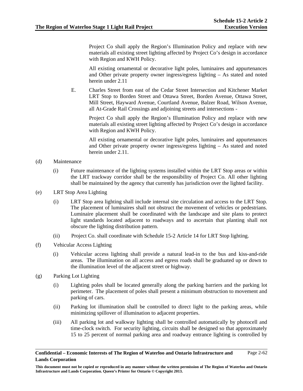Project Co shall apply the Region's Illumination Policy and replace with new materials all existing street lighting affected by Project Co's design in accordance with Region and KWH Policy.

All existing ornamental or decorative light poles, luminaires and appurtenances and Other private property owner ingress/egress lighting – As stated and noted herein under 2.11

E. Charles Street from east of the Cedar Street Intersection and Kitchener Market LRT Stop to Borden Street and Ottawa Street, Borden Avenue, Ottawa Street, Mill Street, Hayward Avenue, Courtland Avenue, Balzer Road, Wilson Avenue, all At-Grade Rail Crossings and adjoining streets and intersections -

Project Co shall apply the Region's Illumination Policy and replace with new materials all existing street lighting affected by Project Co's design in accordance with Region and KWH Policy.

All existing ornamental or decorative light poles, luminaires and appurtenances and Other private property owner ingress/egress lighting – As stated and noted herein under 2.11.

### (d) Maintenance

- (i) Future maintenance of the lighting systems installed within the LRT Stop areas or within the LRT trackway corridor shall be the responsibility of Project Co. All other lighting shall be maintained by the agency that currently has jurisdiction over the lighted facility.
- (e) LRT Stop Area Lighting
	- (i) LRT Stop area lighting shall include internal site circulation and access to the LRT Stop. The placement of luminaires shall not obstruct the movement of vehicles or pedestrians. Luminaire placement shall be coordinated with the landscape and site plans to protect light standards located adjacent to roadways and to ascertain that planting shall not obscure the lighting distribution pattern.
	- (ii) Project Co. shall coordinate with Schedule 15-2 Article 14 for LRT Stop lighting.
- (f) Vehicular Access Lighting
	- (i) Vehicular access lighting shall provide a natural lead-in to the bus and kiss-and-ride areas. The illumination on all access and egress roads shall be graduated up or down to the illumination level of the adjacent street or highway.
- (g) Parking Lot Lighting
	- (i) Lighting poles shall be located generally along the parking barriers and the parking lot perimeter. The placement of poles shall present a minimum obstruction to movement and parking of cars.
	- (ii) Parking lot illumination shall be controlled to direct light to the parking areas, while minimizing spillover of illumination to adjacent properties.
	- (iii) All parking lot and walkway lighting shall be controlled automatically by photocell and time-clock switch. For security lighting, circuits shall be designed so that approximately 15 to 25 percent of normal parking area and roadway entrance lighting is controlled by

**This document must not be copied or reproduced in any manner without the written permission of The Region of Waterloo and Ontario Infrastructure and Lands Corporation. Queen's Printer for Ontario © Copyright 2013.**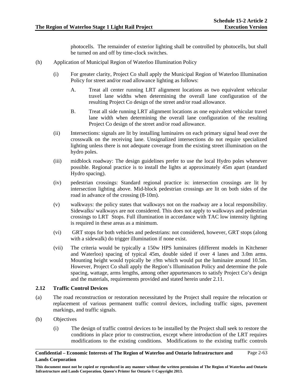photocells. The remainder of exterior lighting shall be controlled by photocells, but shall be turned on and off by time-clock switches.

- (h) Application of Municipal Region of Waterloo Illumination Policy
	- (i) For greater clarity, Project Co shall apply the Municipal Region of Waterloo Illumination Policy for street and/or road allowance lighting as follows:
		- A. Treat all center running LRT alignment locations as two equivalent vehicular travel lane widths when determining the overall lane configuration of the resulting Project Co design of the street and/or road allowance.
		- B. Treat all side running LRT alignment locations as one equivalent vehicular travel lane width when determining the overall lane configuration of the resulting Project Co design of the street and/or road allowance.
	- (ii) Intersections: signals are lit by installing luminaires on each primary signal head over the crosswalk on the receiving lane. Unsignalized intersections do not require specialized lighting unless there is not adequate coverage from the existing street illumination on the hydro poles.
	- (iii) midblock roadway: The design guidelines prefer to use the local Hydro poles whenever possible. Regional practice is to install the lights at approximately 45m apart (standard Hydro spacing).
	- (iv) pedestrian crossings: Standard regional practice is: intersection crossings are lit by intersection lighting above. Mid-block pedestrian crossings are lit on both sides of the road in advance of the crossing (8-10m).
	- (v) walkways: the policy states that walkways not on the roadway are a local responsibility. Sidewalks/ walkways are not considered. This does not apply to walkways and pedestrian crossings to LRT Stops. Full illumination in accordance with TAC low intensity lighting is required in these areas as a minimum.
	- (vi) GRT stops for both vehicles and pedestrians: not considered, however, GRT stops (along with a sidewalk) do trigger illumination if none exist.
	- (vii) The criteria would be typically a 150w HPS luminaires (different models in Kitchener and Waterloo) spacing of typical 45m, double sided if over 4 lanes and 3.0m arms. Mounting height would typically be  $\pm 9m$  which would put the luminaire around 10.5m. However, Project Co shall apply the Region's Illumination Policy and determine the pole spacing, wattage, arms lengths, among other appurtenances to satisfy Project Co's design and the materials, requirements provided and stated herein under 2.11.

## **2.12 Traffic Control Devices**

- (a) The road reconstruction or restoration necessitated by the Project shall require the relocation or replacement of various permanent traffic control devices, including traffic signs, pavement markings, and traffic signals.
- (b) Objectives
	- (i) The design of traffic control devices to be installed by the Project shall seek to restore the conditions in place prior to construction, except where introduction of the LRT requires modifications to the existing conditions. Modifications to the existing traffic controls

**This document must not be copied or reproduced in any manner without the written permission of The Region of Waterloo and Ontario Infrastructure and Lands Corporation. Queen's Printer for Ontario © Copyright 2013.**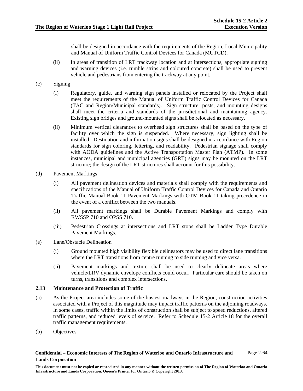shall be designed in accordance with the requirements of the Region, Local Municipality and Manual of Uniform Traffic Control Devices for Canada (MUTCD).

- (ii) In areas of transition of LRT trackway location and at intersections, appropriate signing and warning devices (i.e. rumble strips and coloured concrete) shall be used to prevent vehicle and pedestrians from entering the trackway at any point.
- (c) Signing
	- (i) Regulatory, guide, and warning sign panels installed or relocated by the Project shall meet the requirements of the Manual of Uniform Traffic Control Devices for Canada (TAC and Region/Municipal standards). Sign structure, posts, and mounting designs shall meet the criteria and standards of the jurisdictional and maintaining agency. Existing sign bridges and ground-mounted signs shall be relocated as necessary.
	- (ii) Minimum vertical clearances to overhead sign structures shall be based on the type of facility over which the sign is suspended. Where necessary, sign lighting shall be installed. Destination and information signs shall be designed in accordance with Region standards for sign coloring, lettering, and readability. Pedestrian signage shall comply with AODA guidelines and the Active Transportation Master Plan (ATMP). In some instances, municipal and municipal agencies (GRT) signs may be mounted on the LRT structure; the design of the LRT structures shall account for this possibility.
- (d) Pavement Markings
	- (i) All pavement delineation devices and materials shall comply with the requirements and specifications of the Manual of Uniform Traffic Control Devices for Canada and Ontario Traffic Manual Book 11 Pavement Markings with OTM Book 11 taking precedence in the event of a conflict between the two manuals.
	- (ii) All pavement markings shall be Durable Pavement Markings and comply with RWSSP 710 and OPSS 710.
	- (iii) Pedestrian Crossings at intersections and LRT stops shall be Ladder Type Durable Pavement Markings.
- (e) Lane/Obstacle Delineation
	- (i) Ground mounted high visibility flexible delineators may be used to direct lane transitions where the LRT transitions from centre running to side running and vice versa.
	- (ii) Pavement markings and texture shall be used to clearly delineate areas where vehicle/LRV dynamic envelope conflicts could occur. Particular care should be taken on turns, transitions and complex intersections.

### **2.13 Maintenance and Protection of Traffic**

- (a) As the Project area includes some of the busiest roadways in the Region, construction activities associated with a Project of this magnitude may impact traffic patterns on the adjoining roadways. In some cases, traffic within the limits of construction shall be subject to speed reductions, altered traffic patterns, and reduced levels of service. Refer to Schedule 15-2 Article 18 for the overall traffic management requirements.
- (b) Objectives

**This document must not be copied or reproduced in any manner without the written permission of The Region of Waterloo and Ontario Infrastructure and Lands Corporation. Queen's Printer for Ontario © Copyright 2013.**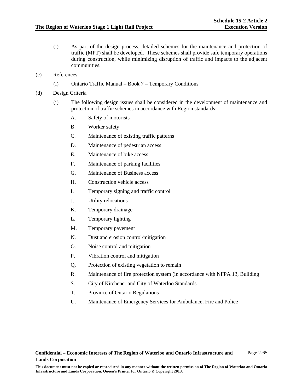- (i) As part of the design process, detailed schemes for the maintenance and protection of traffic (MPT) shall be developed. These schemes shall provide safe temporary operations during construction, while minimizing disruption of traffic and impacts to the adjacent communities.
- (c) References
	- (i) Ontario Traffic Manual Book 7 Temporary Conditions
- (d) Design Criteria
	- (i) The following design issues shall be considered in the development of maintenance and protection of traffic schemes in accordance with Region standards:
		- A. Safety of motorists
		- B. Worker safety
		- C. Maintenance of existing traffic patterns
		- D. Maintenance of pedestrian access
		- E. Maintenance of bike access
		- F. Maintenance of parking facilities
		- G. Maintenance of Business access
		- H. Construction vehicle access
		- I. Temporary signing and traffic control
		- J. Utility relocations
		- K. Temporary drainage
		- L. Temporary lighting
		- M. Temporary pavement
		- N. Dust and erosion control/mitigation
		- O. Noise control and mitigation
		- P. Vibration control and mitigation
		- Q. Protection of existing vegetation to remain
		- R. Maintenance of fire protection system (in accordance with NFPA 13, Building
		- S. City of Kitchener and City of Waterloo Standards
		- T. Province of Ontario Regulations
		- U. Maintenance of Emergency Services for Ambulance, Fire and Police

**This document must not be copied or reproduced in any manner without the written permission of The Region of Waterloo and Ontario Infrastructure and Lands Corporation. Queen's Printer for Ontario © Copyright 2013.**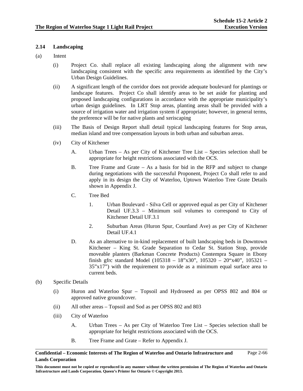## **2.14 Landscaping**

- (a) Intent
	- (i) Project Co. shall replace all existing landscaping along the alignment with new landscaping consistent with the specific area requirements as identified by the City's Urban Design Guidelines.
	- (ii) A significant length of the corridor does not provide adequate boulevard for plantings or landscape features. Project Co shall identify areas to be set aside for planting and proposed landscaping configurations in accordance with the appropriate municipality's urban design guidelines. In LRT Stop areas, planting areas shall be provided with a source of irrigation water and irrigation system if appropriate; however, in general terms, the preference will be for native plants and xeriscaping
	- (iii) The Basis of Design Report shall detail typical landscaping features for Stop areas, median island and tree compensation layouts in both urban and suburban areas.
	- (iv) City of Kitchener
		- A. Urban Trees As per City of Kitchener Tree List Species selection shall be appropriate for height restrictions associated with the OCS.
		- B. Tree Frame and Grate As a basis for bid in the RFP and subject to change during negotiations with the successful Proponent, Project Co shall refer to and apply in its design the City of Waterloo, Uptown Waterloo Tree Grate Details shown in Appendix J.
		- C. Tree Bed
			- 1. Urban Boulevard Silva Cell or approved equal as per City of Kitchener Detail UF.3.3 – Minimum soil volumes to correspond to City of Kitchener Detail UF.3.1
			- 2. Suburban Areas (Huron Spur, Courtland Ave) as per City of Kitchener Detail UF.4.1
		- D. As an alternative to in-kind replacement of built landscaping beds in Downtown Kitchener – King St. Grade Separation to Cedar St. Station Stop, provide moveable planters (Barkman Concrete Products) Contempra Square in Ebony finish gfrc standard Model (105318 – 18"x30", 105320 – 20"x40", 105321 – 35"x17") with the requirement to provide as a minimum equal surface area to current beds.
- (b) Specific Details
	- (i) Huron and Waterloo Spur Topsoil and Hydroseed as per OPSS 802 and 804 or approved native groundcover.
	- (ii) All other areas Topsoil and Sod as per OPSS 802 and 803
	- (iii) City of Waterloo
		- A. Urban Trees As per City of Waterloo Tree List Species selection shall be appropriate for height restrictions associated with the OCS.
		- B. Tree Frame and Grate Refer to Appendix J.

**This document must not be copied or reproduced in any manner without the written permission of The Region of Waterloo and Ontario Infrastructure and Lands Corporation. Queen's Printer for Ontario © Copyright 2013.**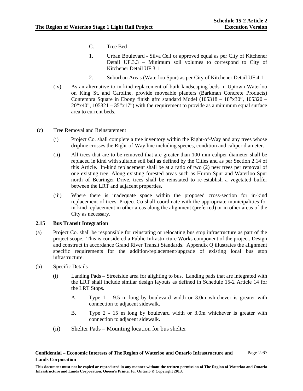- C. Tree Bed
- 1. Urban Boulevard Silva Cell or approved equal as per City of Kitchener Detail UF.3.3 – Minimum soil volumes to correspond to City of Kitchener Detail UF.3.1
- 2. Suburban Areas (Waterloo Spur) as per City of Kitchener Detail UF.4.1
- (iv) As an alternative to in-kind replacement of built landscaping beds in Uptown Waterloo on King St. and Caroline, provide moveable planters (Barkman Concrete Products) Contempra Square in Ebony finish gfrc standard Model (105318 – 18"x30", 105320 –  $20"x40"$ ,  $105321 - 35"x17"$  with the requirement to provide as a minimum equal surface area to current beds.
- (c) Tree Removal and Reinstatement
	- (i) Project Co. shall complete a tree inventory within the Right-of-Way and any trees whose dripline crosses the Right-of-Way line including species, condition and caliper diameter.
	- (ii) All trees that are to be removed that are greater than 100 mm caliper diameter shall be replaced in kind with suitable soil ball as defined by the Cities and as per Section 2.14 of this Article. In-kind replacement shall be at a ratio of two (2) new trees per removal of one existing tree. Along existing forested areas such as Huron Spur and Waterloo Spur north of Bearinger Drive, trees shall be reinstated to re-establish a vegetated buffer between the LRT and adjacent properties.
	- (iii) Where there is inadequate space within the proposed cross-section for in-kind replacement of trees, Project Co shall coordinate with the appropriate municipalities for in-kind replacement in other areas along the alignment (preferred) or in other areas of the City as necessary.

## **2.15 Bus Transit Integration**

- (a) Project Co. shall be responsible for reinstating or relocating bus stop infrastructure as part of the project scope. This is considered a Public Infrastructure Works component of the project. Design and construct in accordance Grand River Transit Standards. Appendix Q illustrates the alignment specific requirements for the addition/replacement/upgrade of existing local bus stop infrastructure.
- (b) Specific Details
	- (i) Landing Pads Streetside area for alighting to bus. Landing pads that are integrated with the LRT shall include similar design layouts as defined in Schedule 15-2 Article 14 for the LRT Stops.
		- A. Type 1 9.5 m long by boulevard width or 3.0m whichever is greater with connection to adjacent sidewalk.
		- B. Type 2 15 m long by boulevard width or 3.0m whichever is greater with connection to adjacent sidewalk.
	- (ii) Shelter Pads Mounting location for bus shelter

**Confidential – Economic Interests of The Region of Waterloo and Ontario Infrastructure and Lands Corporation**  Page 2-67

**This document must not be copied or reproduced in any manner without the written permission of The Region of Waterloo and Ontario Infrastructure and Lands Corporation. Queen's Printer for Ontario © Copyright 2013.**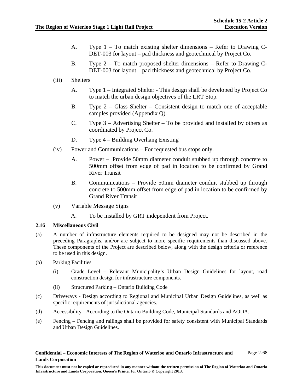- A. Type 1 To match existing shelter dimensions Refer to Drawing C-DET-003 for layout – pad thickness and geotechnical by Project Co.
- B. Type 2 To match proposed shelter dimensions Refer to Drawing C-DET-003 for layout – pad thickness and geotechnical by Project Co.
- (iii) Shelters
	- A. Type 1 Integrated Shelter This design shall be developed by Project Co to match the urban design objectives of the LRT Stop.
	- B. Type 2 Glass Shelter Consistent design to match one of acceptable samples provided (Appendix Q).
	- C. Type  $3 -$  Advertising Shelter To be provided and installed by others as coordinated by Project Co.
	- D. Type 4 Building Overhang Existing
- (iv) Power and Communications For requested bus stops only.
	- A. Power Provide 50mm diameter conduit stubbed up through concrete to 500mm offset from edge of pad in location to be confirmed by Grand River Transit
	- B. Communications Provide 50mm diameter conduit stubbed up through concrete to 500mm offset from edge of pad in location to be confirmed by Grand River Transit
- (v) Variable Message Signs
	- A. To be installed by GRT independent from Project.

## **2.16 Miscellaneous Civil**

- (a) A number of infrastructure elements required to be designed may not be described in the preceding Paragraphs, and/or are subject to more specific requirements than discussed above. These components of the Project are described below, along with the design criteria or reference to be used in this design.
- (b) Parking Facilities
	- (i) Grade Level Relevant Municipality's Urban Design Guidelines for layout, road construction design for infrastructure components.
	- (ii) Structured Parking Ontario Building Code
- (c) Driveways Design according to Regional and Municipal Urban Design Guidelines, as well as specific requirements of jurisdictional agencies.
- (d) Accessibility According to the Ontario Building Code, Municipal Standards and AODA.
- (e) Fencing Fencing and railings shall be provided for safety consistent with Municipal Standards and Urban Design Guidelines.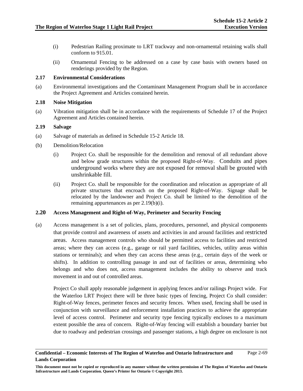- (i) Pedestrian Railing proximate to LRT trackway and non-ornamental retaining walls shall conform to 915.01.
- (ii) Ornamental Fencing to be addressed on a case by case basis with owners based on renderings provided by the Region.

## **2.17 Environmental Considerations**

(a) Environmental investigations and the Contaminant Management Program shall be in accordance the Project Agreement and Articles contained herein.

## **2.18 Noise Mitigation**

(a) Vibration mitigation shall be in accordance with the requirements of Schedule 17 of the Project Agreement and Articles contained herein.

## **2.19 Salvage**

- (a) Salvage of materials as defined in Schedule 15-2 Article 18.
- (b) Demolition/Relocation
	- (i) Project Co. shall be responsible for the demolition and removal of all redundant above and below grade structures within the proposed Right-of-Way. Conduits and pipes underground works where they are not exposed for removal shall be grouted with unshrinkable fill.
	- (ii) Project Co. shall be responsible for the coordination and relocation as appropriate of all private structures that encroach on the proposed Right-of-Way. Signage shall be relocated by the landowner and Project Co. shall be limited to the demolition of the remaining appurtenances as per 2.19(b)(i).

## **2.20 Access Management and Right-of-Way, Perimeter and Security Fencing**

(a) Access management is a set of policies, plans, procedures, personnel, and physical components that provide control and awareness of assets and activities in and around facilities and restricted areas. Access management controls who should be permitted access to facilities and restricted areas; where they can access (e.g., garage or rail yard facilities, vehicles, utility areas within stations or terminals); and when they can access these areas (e.g., certain days of the week or shifts). In addition to controlling passage in and out of facilities or areas, determining who belongs and who does not, access management includes the ability to observe and track movement in and out of controlled areas.

Project Co shall apply reasonable judgement in applying fences and/or railings Project wide. For the Waterloo LRT Project there will be three basic types of fencing, Project Co shall consider: Right-of-Way fences, perimeter fences and security fences. When used, fencing shall be used in conjunction with surveillance and enforcement installation practices to achieve the appropriate level of access control. Perimeter and security type fencing typically encloses to a maximum extent possible the area of concern. Right-of-Way fencing will establish a boundary barrier but due to roadway and pedestrian crossings and passenger stations, a high degree on enclosure is not

**Confidential – Economic Interests of The Region of Waterloo and Ontario Infrastructure and Lands Corporation**  Page 2-69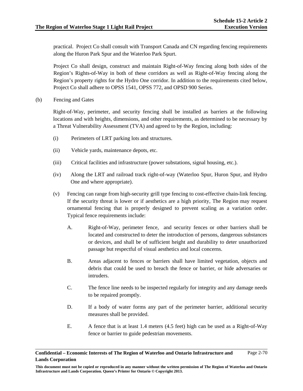practical. Project Co shall consult with Transport Canada and CN regarding fencing requirements along the Huron Park Spur and the Waterloo Park Spurt.

Project Co shall design, construct and maintain Right-of-Way fencing along both sides of the Region's Rights-of-Way in both of these corridors as well as Right-of-Way fencing along the Region's property rights for the Hydro One corridor. In addition to the requirements cited below, Project Co shall adhere to OPSS 1541, OPSS 772, and OPSD 900 Series.

(b) Fencing and Gates

Right-of-Way, perimeter, and security fencing shall be installed as barriers at the following locations and with heights, dimensions, and other requirements, as determined to be necessary by a Threat Vulnerability Assessment (TVA) and agreed to by the Region, including:

- (i) Perimeters of LRT parking lots and structures.
- (ii) Vehicle yards, maintenance depots, etc.
- (iii) Critical facilities and infrastructure (power substations, signal housing, etc.).
- (iv) Along the LRT and railroad track right-of-way (Waterloo Spur, Huron Spur, and Hydro One and where appropriate).
- (v) Fencing can range from high-security grill type fencing to cost-effective chain-link fencing. If the security threat is lower or if aesthetics are a high priority, The Region may request ornamental fencing that is properly designed to prevent scaling as a variation order. Typical fence requirements include:
	- A. Right-of-Way, perimeter fence, and security fences or other barriers shall be located and constructed to deter the introduction of persons, dangerous substances or devices, and shall be of sufficient height and durability to deter unauthorized passage but respectful of visual aesthetics and local concerns.
	- B. Areas adjacent to fences or barriers shall have limited vegetation, objects and debris that could be used to breach the fence or barrier, or hide adversaries or intruders.
	- C. The fence line needs to be inspected regularly for integrity and any damage needs to be repaired promptly.
	- D. If a body of water forms any part of the perimeter barrier, additional security measures shall be provided.
	- E. A fence that is at least 1.4 meters (4.5 feet) high can be used as a Right-of-Way fence or barrier to guide pedestrian movements.

**Confidential – Economic Interests of The Region of Waterloo and Ontario Infrastructure and Lands Corporation**  Page 2-70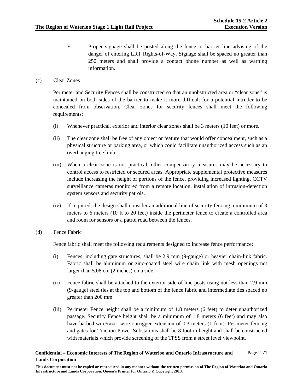F. Proper signage shall be posted along the fence or barrier line advising of the danger of entering LRT Rights-of-Way. Signage shall be spaced no greater than 250 meters and shall provide a contact phone number as well as warning information.

## (c) Clear Zones

Perimeter and Security Fences shall be constructed so that an unobstructed area or "clear zone" is maintained on both sides of the barrier to make it more difficult for a potential intruder to be concealed from observation. Clear zones for security fences shall meet the following requirements:

- (i) Whenever practical, exterior and interior clear zones shall be 3 meters (10 feet) or more.
- (ii) The clear zone shall be free of any object or feature that would offer concealment, such as a physical structure or parking area, or which could facilitate unauthorized access such as an overhanging tree limb.
- (iii) When a clear zone is not practical, other compensatory measures may be necessary to control access to restricted or secured areas. Appropriate supplemental protective measures include increasing the height of portions of the fence, providing increased lighting, CCTV surveillance cameras monitored from a remote location, installation of intrusion-detection system sensors and security patrols.
- (iv) If required, the design shall consider an additional line of security fencing a minimum of 3 meters to 6 meters (10 ft to 20 feet) inside the perimeter fence to create a controlled area and room for sensors or a patrol road between the fences.
- (d) Fence Fabric

Fence fabric shall meet the following requirements designed to increase fence performance:

- (i) Fences, including gate structures, shall be 2.9 mm (9-gauge) or heavier chain-link fabric. Fabric shall be aluminum or zinc-coated steel wire chain link with mesh openings not larger than 5.08 cm (2 inches) on a side.
- (ii) Fence fabric shall be attached to the exterior side of line posts using not less than 2.9 mm (9-gauge) steel ties at the top and bottom of the fence fabric and intermediate ties spaced no greater than 200 mm.
- (iii) Perimeter Fence height shall be a minimum of 1.8 meters (6 feet) to deter unauthorized passage. Security Fence height shall be a minimum of 1.8 meters (6 feet) and may also have barbed-wire/razor wire outrigger extension of 0.3 meters (1 foot). Perimeter fencing and gates for Traction Power Substations shall be 8 foot in height and shall be constructed with materials which provide screening of the TPSS from a street level viewpoint.

## **Confidential – Economic Interests of The Region of Waterloo and Ontario Infrastructure and Lands Corporation**  Page 2-71

**This document must not be copied or reproduced in any manner without the written permission of The Region of Waterloo and Ontario Infrastructure and Lands Corporation. Queen's Printer for Ontario © Copyright 2013.**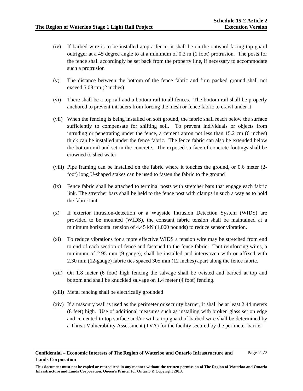- (iv) If barbed wire is to be installed atop a fence, it shall be on the outward facing top guard outrigger at a 45 degree angle to at a minimum of 0.3 m (1 foot) protrusion. The posts for the fence shall accordingly be set back from the property line, if necessary to accommodate such a protrusion
- (v) The distance between the bottom of the fence fabric and firm packed ground shall not exceed 5.08 cm (2 inches)
- (vi) There shall be a top rail and a bottom rail to all fences. The bottom rail shall be properly anchored to prevent intruders from forcing the mesh or fence fabric to crawl under it
- (vii) When the fencing is being installed on soft ground, the fabric shall reach below the surface sufficiently to compensate for shifting soil. To prevent individuals or objects from intruding or penetrating under the fence, a cement apron not less than 15.2 cm (6 inches) thick can be installed under the fence fabric. The fence fabric can also be extended below the bottom rail and set in the concrete. The exposed surface of concrete footings shall be crowned to shed water
- (viii) Pipe framing can be installed on the fabric where it touches the ground, or 0.6 meter (2 foot) long U-shaped stakes can be used to fasten the fabric to the ground
- (ix) Fence fabric shall be attached to terminal posts with stretcher bars that engage each fabric link. The stretcher bars shall be held to the fence post with clamps in such a way as to hold the fabric taut
- (x) If exterior intrusion-detection or a Wayside Intrusion Detection System (WIDS) are provided to be mounted (WIDS), the constant fabric tension shall be maintained at a minimum horizontal tension of 4.45 kN (1,000 pounds) to reduce sensor vibration.
- (xi) To reduce vibrations for a more effective WIDS a tension wire may be stretched from end to end of each section of fence and fastened to the fence fabric. Taut reinforcing wires, a minimum of 2.95 mm (9-gauge), shall be installed and interwoven with or affixed with 2.30 mm (12-gauge) fabric ties spaced 305 mm (12 inches) apart along the fence fabric.
- (xii) On 1.8 meter (6 foot) high fencing the salvage shall be twisted and barbed at top and bottom and shall be knuckled salvage on 1.4 meter (4 foot) fencing.
- (xiii) Metal fencing shall be electrically grounded
- (xiv) If a masonry wall is used as the perimeter or security barrier, it shall be at least 2.44 meters (8 feet) high. Use of additional measures such as installing with broken glass set on edge and cemented to top surface and/or with a top guard of barbed wire shall be determined by a Threat Vulnerability Assessment (TVA) for the facility secured by the perimeter barrier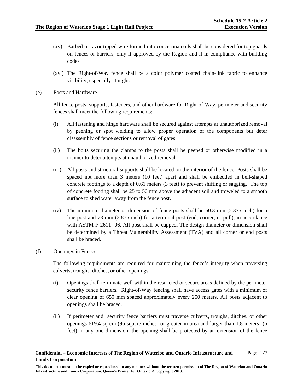- (xv) Barbed or razor tipped wire formed into concertina coils shall be considered for top guards on fences or barriers, only if approved by the Region and if in compliance with building codes
- (xvi) The Right-of-Way fence shall be a color polymer coated chain-link fabric to enhance visibility, especially at night.
- (e) Posts and Hardware

All fence posts, supports, fasteners, and other hardware for Right-of-Way, perimeter and security fences shall meet the following requirements:

- (i) All fastening and hinge hardware shall be secured against attempts at unauthorized removal by peening or spot welding to allow proper operation of the components but deter disassembly of fence sections or removal of gates
- (ii) The bolts securing the clamps to the posts shall be peened or otherwise modified in a manner to deter attempts at unauthorized removal
- (iii) All posts and structural supports shall be located on the interior of the fence. Posts shall be spaced not more than 3 meters (10 feet) apart and shall be embedded in bell-shaped concrete footings to a depth of 0.61 meters (3 feet) to prevent shifting or sagging. The top of concrete footing shall be 25 to 50 mm above the adjacent soil and troweled to a smooth surface to shed water away from the fence post.
- (iv) The minimum diameter or dimension of fence posts shall be 60.3 mm (2.375 inch) for a line post and 73 mm (2.875 inch) for a terminal post (end, corner, or pull), in accordance with ASTM F-2611 -06. All post shall be capped. The design diameter or dimension shall be determined by a Threat Vulnerability Assessment (TVA) and all corner or end posts shall be braced.
- (f) Openings in Fences

The following requirements are required for maintaining the fence's integrity when traversing culverts, troughs, ditches, or other openings:

- (i) Openings shall terminate well within the restricted or secure areas defined by the perimeter security fence barriers. Right-of-Way fencing shall have access gates with a minimum of clear opening of 650 mm spaced approximately every 250 meters. All posts adjacent to openings shall be braced.
- (ii) If perimeter and security fence barriers must traverse culverts, troughs, ditches, or other openings 619.4 sq cm (96 square inches) or greater in area and larger than 1.8 meters (6 feet) in any one dimension, the opening shall be protected by an extension of the fence

**Confidential – Economic Interests of The Region of Waterloo and Ontario Infrastructure and Lands Corporation**  Page 2-73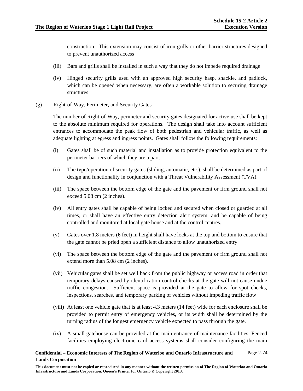construction. This extension may consist of iron grills or other barrier structures designed to prevent unauthorized access

- (iii) Bars and grills shall be installed in such a way that they do not impede required drainage
- (iv) Hinged security grills used with an approved high security hasp, shackle, and padlock, which can be opened when necessary, are often a workable solution to securing drainage structures
- (g) Right-of-Way, Perimeter, and Security Gates

The number of Right-of-Way, perimeter and security gates designated for active use shall be kept to the absolute minimum required for operations. The design shall take into account sufficient entrances to accommodate the peak flow of both pedestrian and vehicular traffic, as well as adequate lighting at egress and ingress points. Gates shall follow the following requirements:

- (i) Gates shall be of such material and installation as to provide protection equivalent to the perimeter barriers of which they are a part.
- (ii) The type/operation of security gates (sliding, automatic, etc.), shall be determined as part of design and functionality in conjunction with a Threat Vulnerability Assessment (TVA).
- (iii) The space between the bottom edge of the gate and the pavement or firm ground shall not exceed 5.08 cm (2 inches).
- (iv) All entry gates shall be capable of being locked and secured when closed or guarded at all times, or shall have an effective entry detection alert system, and be capable of being controlled and monitored at local gate house and at the control centres.
- (v) Gates over 1.8 meters (6 feet) in height shall have locks at the top and bottom to ensure that the gate cannot be pried open a sufficient distance to allow unauthorized entry
- (vi) The space between the bottom edge of the gate and the pavement or firm ground shall not extend more than 5.08 cm (2 inches).
- (vii) Vehicular gates shall be set well back from the public highway or access road in order that temporary delays caused by identification control checks at the gate will not cause undue traffic congestion. Sufficient space is provided at the gate to allow for spot checks, inspections, searches, and temporary parking of vehicles without impeding traffic flow
- (viii) At least one vehicle gate that is at least 4.3 meters (14 feet) wide for each enclosure shall be provided to permit entry of emergency vehicles, or its width shall be determined by the turning radius of the longest emergency vehicle expected to pass through the gate.
- (ix) A small gatehouse can be provided at the main entrance of maintenance facilities. Fenced facilities employing electronic card access systems shall consider configuring the main

## **Confidential – Economic Interests of The Region of Waterloo and Ontario Infrastructure and Lands Corporation**  Page 2-74

**This document must not be copied or reproduced in any manner without the written permission of The Region of Waterloo and Ontario Infrastructure and Lands Corporation. Queen's Printer for Ontario © Copyright 2013.**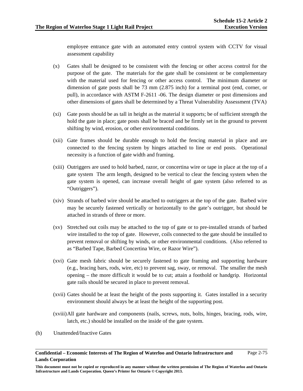employee entrance gate with an automated entry control system with CCTV for visual assessment capability

- (x) Gates shall be designed to be consistent with the fencing or other access control for the purpose of the gate. The materials for the gate shall be consistent or be complementary with the material used for fencing or other access control. The minimum diameter or dimension of gate posts shall be 73 mm (2.875 inch) for a terminal post (end, corner, or pull), in accordance with ASTM F-2611 -06. The design diameter or post dimensions and other dimensions of gates shall be determined by a Threat Vulnerability Assessment (TVA)
- (xi) Gate posts should be as tall in height as the material it supports; be of sufficient strength the hold the gate in place; gate posts shall be braced and be firmly set in the ground to prevent shifting by wind, erosion, or other environmental conditions.
- (xii) Gate frames should be durable enough to hold the fencing material in place and are connected to the fencing system by hinges attached to line or end posts. Operational necessity is a function of gate width and framing.
- (xiii) Outriggers are used to hold barbed, razor, or concertina wire or tape in place at the top of a gate system The arm length, designed to be vertical to clear the fencing system when the gate system is opened, can increase overall height of gate system (also referred to as "Outriggers").
- (xiv) Strands of barbed wire should be attached to outriggers at the top of the gate. Barbed wire may be securely fastened vertically or horizontally to the gate's outrigger, but should be attached in strands of three or more.
- (xv) Stretched out coils may be attached to the top of gate or to pre-installed strands of barbed wire installed to the top of gate. However, coils connected to the gate should be installed to prevent removal or shifting by winds, or other environmental conditions. (Also referred to as "Barbed Tape, Barbed Concertina Wire, or Razor Wire").
- (xvi) Gate mesh fabric should be securely fastened to gate framing and supporting hardware (e.g., bracing bars, rods, wire, etc) to prevent sag, sway, or removal. The smaller the mesh opening – the more difficult it would be to cut; attain a foothold or handgrip. Horizontal gate rails should be secured in place to prevent removal.
- (xvii) Gates should be at least the height of the posts supporting it. Gates installed in a security environment should always be at least the height of the supporting post.
- (xviii) All gate hardware and components (nails, screws, nuts, bolts, hinges, bracing, rods, wire, latch, etc.) should be installed on the inside of the gate system.
- (h) Unattended/Inactive Gates

**This document must not be copied or reproduced in any manner without the written permission of The Region of Waterloo and Ontario Infrastructure and Lands Corporation. Queen's Printer for Ontario © Copyright 2013.**